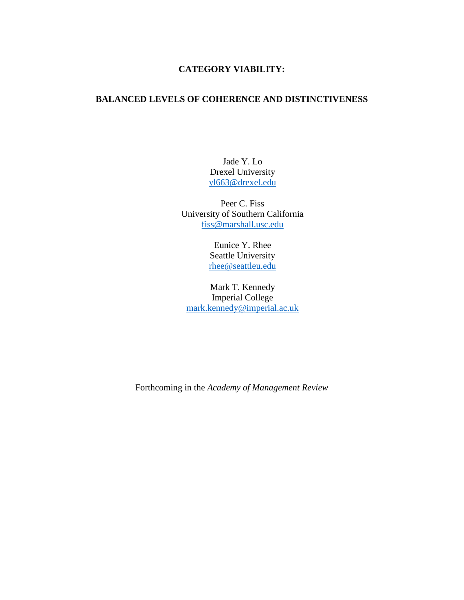# **CATEGORY VIABILITY:**

# **BALANCED LEVELS OF COHERENCE AND DISTINCTIVENESS**

Jade Y. Lo Drexel University [yl663@drexel.edu](mailto:yl663@drexel.edu)

Peer C. Fiss University of Southern California [fiss@marshall.usc.edu](mailto:fiss@marshall.usc.edu)

> Eunice Y. Rhee Seattle University [rhee@seattleu.edu](mailto:rhee@seattleu.edu)

Mark T. Kennedy Imperial College [mark.kennedy@imperial.ac.uk](mailto:mark.kennedy@imperial.ac.uk)

Forthcoming in the *Academy of Management Review*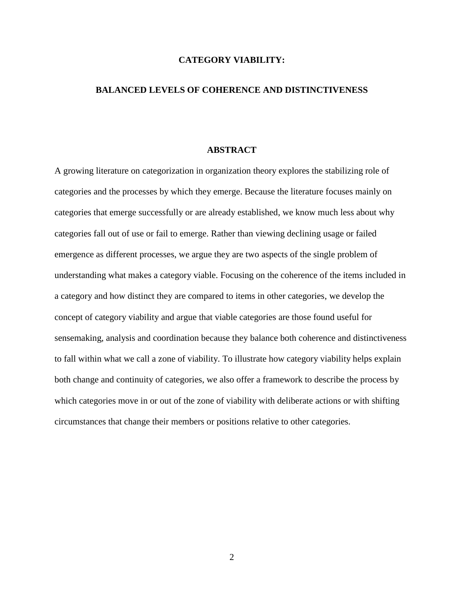## **CATEGORY VIABILITY:**

### **BALANCED LEVELS OF COHERENCE AND DISTINCTIVENESS**

## **ABSTRACT**

A growing literature on categorization in organization theory explores the stabilizing role of categories and the processes by which they emerge. Because the literature focuses mainly on categories that emerge successfully or are already established, we know much less about why categories fall out of use or fail to emerge. Rather than viewing declining usage or failed emergence as different processes, we argue they are two aspects of the single problem of understanding what makes a category viable. Focusing on the coherence of the items included in a category and how distinct they are compared to items in other categories, we develop the concept of category viability and argue that viable categories are those found useful for sensemaking, analysis and coordination because they balance both coherence and distinctiveness to fall within what we call a zone of viability. To illustrate how category viability helps explain both change and continuity of categories, we also offer a framework to describe the process by which categories move in or out of the zone of viability with deliberate actions or with shifting circumstances that change their members or positions relative to other categories.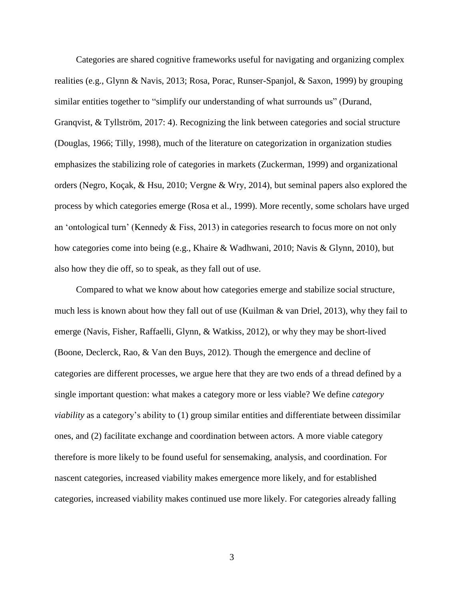Categories are shared cognitive frameworks useful for navigating and organizing complex realities (e.g., Glynn & Navis, 2013; Rosa, Porac, Runser-Spanjol, & Saxon, 1999) by grouping similar entities together to "simplify our understanding of what surrounds us" (Durand, Granqvist, & Tyllström, 2017: 4). Recognizing the link between categories and social structure (Douglas, 1966; Tilly, 1998), much of the literature on categorization in organization studies emphasizes the stabilizing role of categories in markets (Zuckerman, 1999) and organizational orders (Negro, Koçak, & Hsu, 2010; Vergne & Wry, 2014), but seminal papers also explored the process by which categories emerge (Rosa et al., 1999). More recently, some scholars have urged an 'ontological turn' (Kennedy & Fiss, 2013) in categories research to focus more on not only how categories come into being (e.g., Khaire & Wadhwani, 2010; Navis & Glynn, 2010), but also how they die off, so to speak, as they fall out of use.

Compared to what we know about how categories emerge and stabilize social structure, much less is known about how they fall out of use (Kuilman & van Driel, 2013), why they fail to emerge (Navis, Fisher, Raffaelli, Glynn, & Watkiss, 2012), or why they may be short-lived (Boone, Declerck, Rao, & Van den Buys, 2012). Though the emergence and decline of categories are different processes, we argue here that they are two ends of a thread defined by a single important question: what makes a category more or less viable? We define *category viability* as a category's ability to (1) group similar entities and differentiate between dissimilar ones, and (2) facilitate exchange and coordination between actors. A more viable category therefore is more likely to be found useful for sensemaking, analysis, and coordination. For nascent categories, increased viability makes emergence more likely, and for established categories, increased viability makes continued use more likely. For categories already falling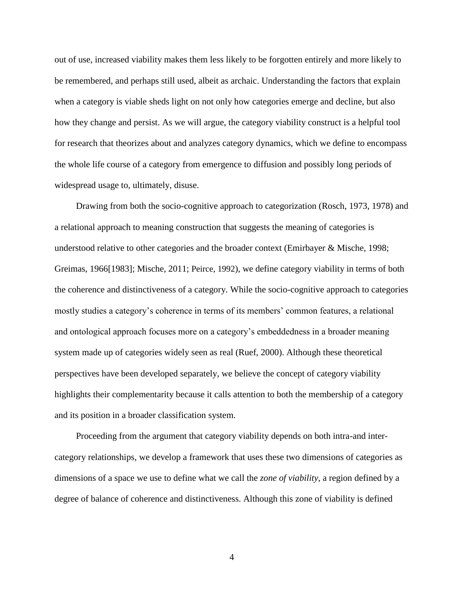out of use, increased viability makes them less likely to be forgotten entirely and more likely to be remembered, and perhaps still used, albeit as archaic. Understanding the factors that explain when a category is viable sheds light on not only how categories emerge and decline, but also how they change and persist. As we will argue, the category viability construct is a helpful tool for research that theorizes about and analyzes category dynamics, which we define to encompass the whole life course of a category from emergence to diffusion and possibly long periods of widespread usage to, ultimately, disuse.

Drawing from both the socio-cognitive approach to categorization (Rosch, 1973, 1978) and a relational approach to meaning construction that suggests the meaning of categories is understood relative to other categories and the broader context (Emirbayer & Mische, 1998; Greimas, 1966[1983]; Mische, 2011; Peirce, 1992), we define category viability in terms of both the coherence and distinctiveness of a category. While the socio-cognitive approach to categories mostly studies a category's coherence in terms of its members' common features, a relational and ontological approach focuses more on a category's embeddedness in a broader meaning system made up of categories widely seen as real (Ruef, 2000). Although these theoretical perspectives have been developed separately, we believe the concept of category viability highlights their complementarity because it calls attention to both the membership of a category and its position in a broader classification system.

Proceeding from the argument that category viability depends on both intra-and intercategory relationships, we develop a framework that uses these two dimensions of categories as dimensions of a space we use to define what we call the *zone of viability*, a region defined by a degree of balance of coherence and distinctiveness. Although this zone of viability is defined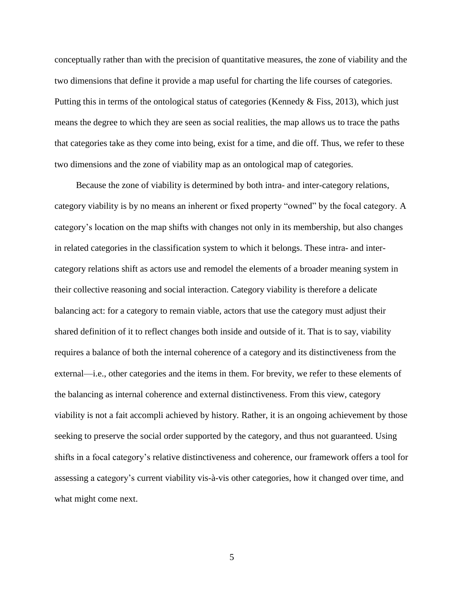conceptually rather than with the precision of quantitative measures, the zone of viability and the two dimensions that define it provide a map useful for charting the life courses of categories. Putting this in terms of the ontological status of categories (Kennedy  $\&$  Fiss, 2013), which just means the degree to which they are seen as social realities, the map allows us to trace the paths that categories take as they come into being, exist for a time, and die off. Thus, we refer to these two dimensions and the zone of viability map as an ontological map of categories.

Because the zone of viability is determined by both intra- and inter-category relations, category viability is by no means an inherent or fixed property "owned" by the focal category. A category's location on the map shifts with changes not only in its membership, but also changes in related categories in the classification system to which it belongs. These intra- and intercategory relations shift as actors use and remodel the elements of a broader meaning system in their collective reasoning and social interaction. Category viability is therefore a delicate balancing act: for a category to remain viable, actors that use the category must adjust their shared definition of it to reflect changes both inside and outside of it. That is to say, viability requires a balance of both the internal coherence of a category and its distinctiveness from the external—i.e., other categories and the items in them. For brevity, we refer to these elements of the balancing as internal coherence and external distinctiveness. From this view, category viability is not a fait accompli achieved by history*.* Rather, it is an ongoing achievement by those seeking to preserve the social order supported by the category, and thus not guaranteed. Using shifts in a focal category's relative distinctiveness and coherence, our framework offers a tool for assessing a category's current viability vis-à-vis other categories, how it changed over time, and what might come next.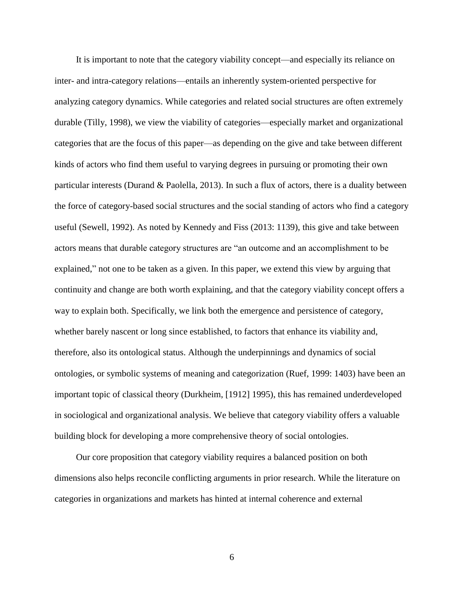It is important to note that the category viability concept—and especially its reliance on inter- and intra-category relations—entails an inherently system-oriented perspective for analyzing category dynamics. While categories and related social structures are often extremely durable (Tilly, 1998), we view the viability of categories—especially market and organizational categories that are the focus of this paper—as depending on the give and take between different kinds of actors who find them useful to varying degrees in pursuing or promoting their own particular interests (Durand & Paolella, 2013). In such a flux of actors, there is a duality between the force of category-based social structures and the social standing of actors who find a category useful (Sewell, 1992). As noted by Kennedy and Fiss (2013: 1139), this give and take between actors means that durable category structures are "an outcome and an accomplishment to be explained," not one to be taken as a given. In this paper, we extend this view by arguing that continuity and change are both worth explaining, and that the category viability concept offers a way to explain both. Specifically, we link both the emergence and persistence of category, whether barely nascent or long since established, to factors that enhance its viability and, therefore, also its ontological status. Although the underpinnings and dynamics of social ontologies, or symbolic systems of meaning and categorization (Ruef, 1999: 1403) have been an important topic of classical theory (Durkheim, [1912] 1995), this has remained underdeveloped in sociological and organizational analysis. We believe that category viability offers a valuable building block for developing a more comprehensive theory of social ontologies.

Our core proposition that category viability requires a balanced position on both dimensions also helps reconcile conflicting arguments in prior research. While the literature on categories in organizations and markets has hinted at internal coherence and external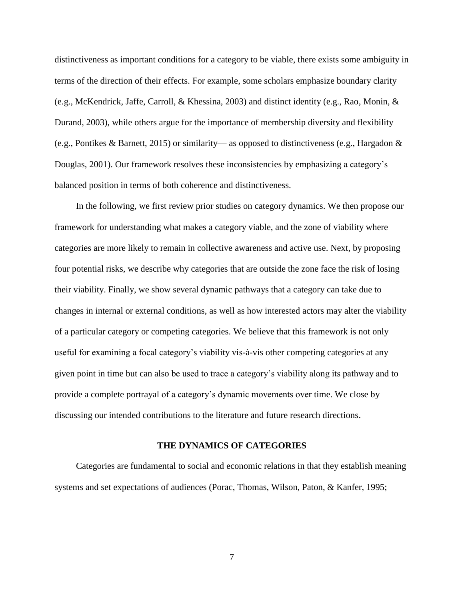distinctiveness as important conditions for a category to be viable, there exists some ambiguity in terms of the direction of their effects. For example, some scholars emphasize boundary clarity (e.g., McKendrick, Jaffe, Carroll, & Khessina, 2003) and distinct identity (e.g., Rao, Monin, & Durand, 2003), while others argue for the importance of membership diversity and flexibility (e.g., Pontikes & Barnett, 2015) or similarity— as opposed to distinctiveness (e.g., Hargadon & Douglas, 2001). Our framework resolves these inconsistencies by emphasizing a category's balanced position in terms of both coherence and distinctiveness.

In the following, we first review prior studies on category dynamics. We then propose our framework for understanding what makes a category viable, and the zone of viability where categories are more likely to remain in collective awareness and active use. Next, by proposing four potential risks, we describe why categories that are outside the zone face the risk of losing their viability. Finally, we show several dynamic pathways that a category can take due to changes in internal or external conditions, as well as how interested actors may alter the viability of a particular category or competing categories. We believe that this framework is not only useful for examining a focal category's viability vis-à-vis other competing categories at any given point in time but can also be used to trace a category's viability along its pathway and to provide a complete portrayal of a category's dynamic movements over time. We close by discussing our intended contributions to the literature and future research directions.

#### **THE DYNAMICS OF CATEGORIES**

Categories are fundamental to social and economic relations in that they establish meaning systems and set expectations of audiences (Porac, Thomas, Wilson, Paton, & Kanfer, 1995;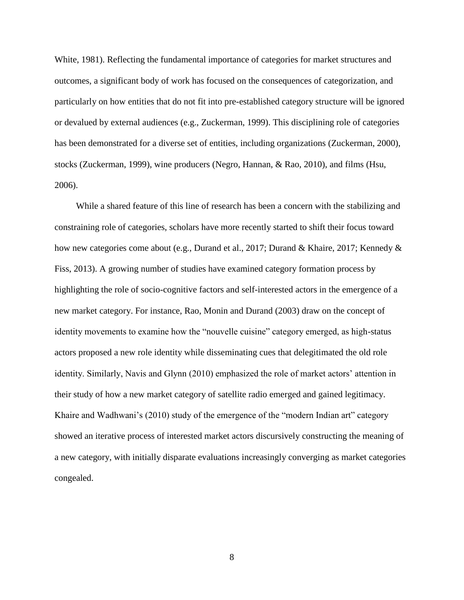White, 1981). Reflecting the fundamental importance of categories for market structures and outcomes, a significant body of work has focused on the consequences of categorization, and particularly on how entities that do not fit into pre-established category structure will be ignored or devalued by external audiences (e.g., Zuckerman, 1999). This disciplining role of categories has been demonstrated for a diverse set of entities, including organizations (Zuckerman, 2000), stocks (Zuckerman, 1999), wine producers (Negro, Hannan, & Rao, 2010), and films (Hsu, 2006).

While a shared feature of this line of research has been a concern with the stabilizing and constraining role of categories, scholars have more recently started to shift their focus toward how new categories come about (e.g., Durand et al., 2017; Durand & Khaire, 2017; Kennedy & Fiss, 2013). A growing number of studies have examined category formation process by highlighting the role of socio-cognitive factors and self-interested actors in the emergence of a new market category. For instance, Rao, Monin and Durand (2003) draw on the concept of identity movements to examine how the "nouvelle cuisine" category emerged, as high-status actors proposed a new role identity while disseminating cues that delegitimated the old role identity. Similarly, Navis and Glynn (2010) emphasized the role of market actors' attention in their study of how a new market category of satellite radio emerged and gained legitimacy. Khaire and Wadhwani's (2010) study of the emergence of the "modern Indian art" category showed an iterative process of interested market actors discursively constructing the meaning of a new category, with initially disparate evaluations increasingly converging as market categories congealed.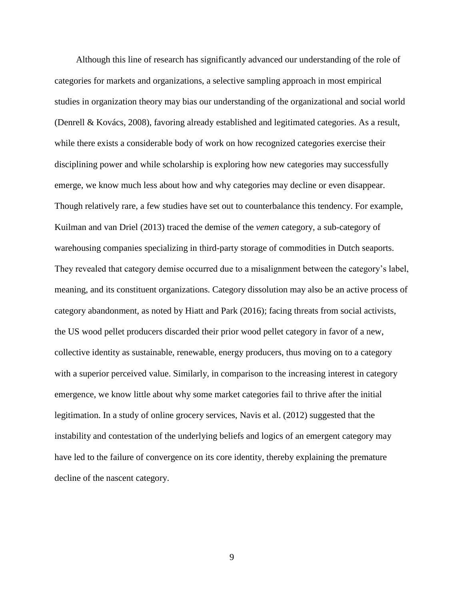Although this line of research has significantly advanced our understanding of the role of categories for markets and organizations, a selective sampling approach in most empirical studies in organization theory may bias our understanding of the organizational and social world (Denrell & Kovács, 2008), favoring already established and legitimated categories. As a result, while there exists a considerable body of work on how recognized categories exercise their disciplining power and while scholarship is exploring how new categories may successfully emerge, we know much less about how and why categories may decline or even disappear. Though relatively rare, a few studies have set out to counterbalance this tendency. For example, Kuilman and van Driel (2013) traced the demise of the *vemen* category, a sub-category of warehousing companies specializing in third-party storage of commodities in Dutch seaports. They revealed that category demise occurred due to a misalignment between the category's label, meaning, and its constituent organizations. Category dissolution may also be an active process of category abandonment, as noted by Hiatt and Park (2016); facing threats from social activists, the US wood pellet producers discarded their prior wood pellet category in favor of a new, collective identity as sustainable, renewable, energy producers, thus moving on to a category with a superior perceived value. Similarly, in comparison to the increasing interest in category emergence, we know little about why some market categories fail to thrive after the initial legitimation. In a study of online grocery services, Navis et al. (2012) suggested that the instability and contestation of the underlying beliefs and logics of an emergent category may have led to the failure of convergence on its core identity, thereby explaining the premature decline of the nascent category.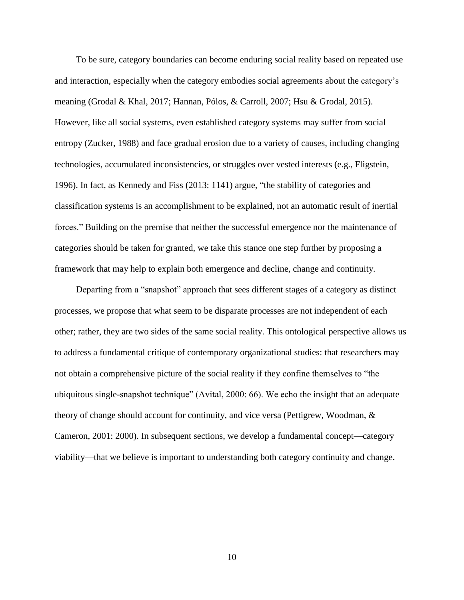To be sure, category boundaries can become enduring social reality based on repeated use and interaction, especially when the category embodies social agreements about the category's meaning (Grodal & Khal, 2017; Hannan, Pólos, & Carroll, 2007; Hsu & Grodal, 2015). However, like all social systems, even established category systems may suffer from social entropy (Zucker, 1988) and face gradual erosion due to a variety of causes, including changing technologies, accumulated inconsistencies, or struggles over vested interests (e.g., Fligstein, 1996). In fact, as Kennedy and Fiss (2013: 1141) argue, "the stability of categories and classification systems is an accomplishment to be explained, not an automatic result of inertial forces." Building on the premise that neither the successful emergence nor the maintenance of categories should be taken for granted, we take this stance one step further by proposing a framework that may help to explain both emergence and decline, change and continuity.

Departing from a "snapshot" approach that sees different stages of a category as distinct processes, we propose that what seem to be disparate processes are not independent of each other; rather, they are two sides of the same social reality. This ontological perspective allows us to address a fundamental critique of contemporary organizational studies: that researchers may not obtain a comprehensive picture of the social reality if they confine themselves to "the ubiquitous single-snapshot technique" (Avital, 2000: 66). We echo the insight that an adequate theory of change should account for continuity, and vice versa (Pettigrew, Woodman, & Cameron, 2001: 2000). In subsequent sections, we develop a fundamental concept—category viability—that we believe is important to understanding both category continuity and change.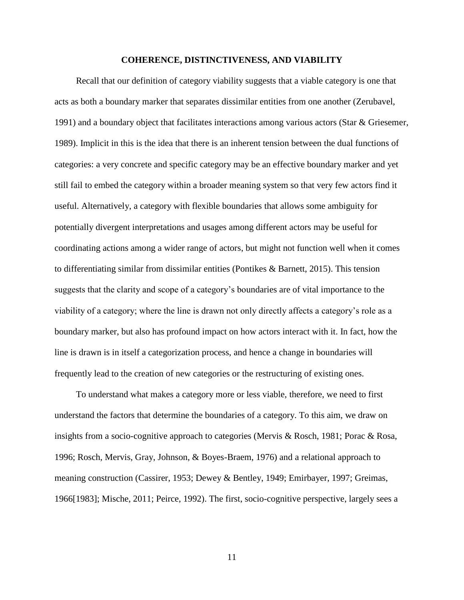#### **COHERENCE, DISTINCTIVENESS, AND VIABILITY**

Recall that our definition of category viability suggests that a viable category is one that acts as both a boundary marker that separates dissimilar entities from one another (Zerubavel, 1991) and a boundary object that facilitates interactions among various actors (Star & Griesemer, 1989). Implicit in this is the idea that there is an inherent tension between the dual functions of categories: a very concrete and specific category may be an effective boundary marker and yet still fail to embed the category within a broader meaning system so that very few actors find it useful. Alternatively, a category with flexible boundaries that allows some ambiguity for potentially divergent interpretations and usages among different actors may be useful for coordinating actions among a wider range of actors, but might not function well when it comes to differentiating similar from dissimilar entities (Pontikes & Barnett, 2015). This tension suggests that the clarity and scope of a category's boundaries are of vital importance to the viability of a category; where the line is drawn not only directly affects a category's role as a boundary marker, but also has profound impact on how actors interact with it. In fact, how the line is drawn is in itself a categorization process, and hence a change in boundaries will frequently lead to the creation of new categories or the restructuring of existing ones.

To understand what makes a category more or less viable, therefore, we need to first understand the factors that determine the boundaries of a category. To this aim, we draw on insights from a socio-cognitive approach to categories (Mervis & Rosch, 1981; Porac & Rosa, 1996; Rosch, Mervis, Gray, Johnson, & Boyes-Braem, 1976) and a relational approach to meaning construction (Cassirer, 1953; Dewey & Bentley, 1949; Emirbayer, 1997; Greimas, 1966[1983]; Mische, 2011; Peirce, 1992). The first, socio-cognitive perspective, largely sees a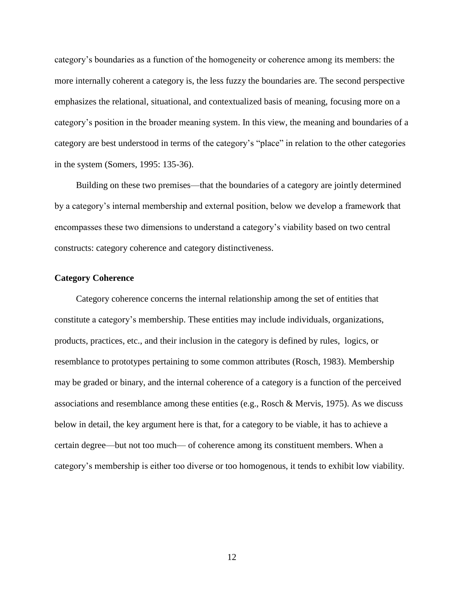category's boundaries as a function of the homogeneity or coherence among its members: the more internally coherent a category is, the less fuzzy the boundaries are. The second perspective emphasizes the relational, situational, and contextualized basis of meaning, focusing more on a category's position in the broader meaning system. In this view, the meaning and boundaries of a category are best understood in terms of the category's "place" in relation to the other categories in the system (Somers, 1995: 135-36).

Building on these two premises—that the boundaries of a category are jointly determined by a category's internal membership and external position, below we develop a framework that encompasses these two dimensions to understand a category's viability based on two central constructs: category coherence and category distinctiveness.

### **Category Coherence**

Category coherence concerns the internal relationship among the set of entities that constitute a category's membership. These entities may include individuals, organizations, products, practices, etc., and their inclusion in the category is defined by rules, logics, or resemblance to prototypes pertaining to some common attributes (Rosch, 1983). Membership may be graded or binary, and the internal coherence of a category is a function of the perceived associations and resemblance among these entities (e.g., Rosch & Mervis, 1975). As we discuss below in detail, the key argument here is that, for a category to be viable, it has to achieve a certain degree—but not too much— of coherence among its constituent members. When a category's membership is either too diverse or too homogenous, it tends to exhibit low viability.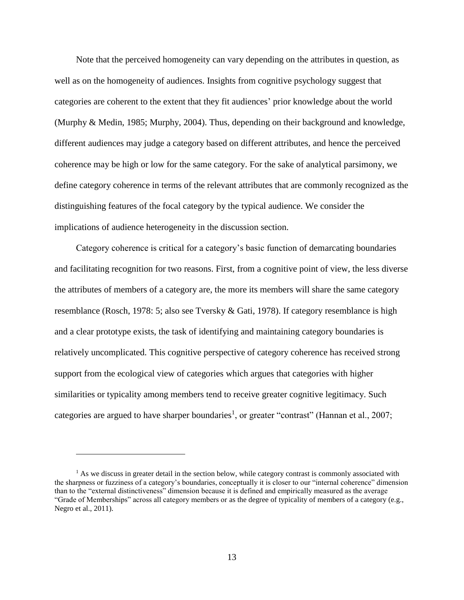Note that the perceived homogeneity can vary depending on the attributes in question, as well as on the homogeneity of audiences. Insights from cognitive psychology suggest that categories are coherent to the extent that they fit audiences' prior knowledge about the world (Murphy & Medin, 1985; Murphy, 2004). Thus, depending on their background and knowledge, different audiences may judge a category based on different attributes, and hence the perceived coherence may be high or low for the same category. For the sake of analytical parsimony, we define category coherence in terms of the relevant attributes that are commonly recognized as the distinguishing features of the focal category by the typical audience. We consider the implications of audience heterogeneity in the discussion section.

Category coherence is critical for a category's basic function of demarcating boundaries and facilitating recognition for two reasons. First, from a cognitive point of view, the less diverse the attributes of members of a category are, the more its members will share the same category resemblance (Rosch, 1978: 5; also see Tversky & Gati, 1978). If category resemblance is high and a clear prototype exists, the task of identifying and maintaining category boundaries is relatively uncomplicated. This cognitive perspective of category coherence has received strong support from the ecological view of categories which argues that categories with higher similarities or typicality among members tend to receive greater cognitive legitimacy. Such categories are argued to have sharper boundaries<sup>1</sup>, or greater "contrast" (Hannan et al., 2007;

 $\overline{a}$ 

 $<sup>1</sup>$  As we discuss in greater detail in the section below, while category contrast is commonly associated with</sup> the sharpness or fuzziness of a category's boundaries, conceptually it is closer to our "internal coherence" dimension than to the "external distinctiveness" dimension because it is defined and empirically measured as the average "Grade of Memberships" across all category members or as the degree of typicality of members of a category (e.g., Negro et al., 2011).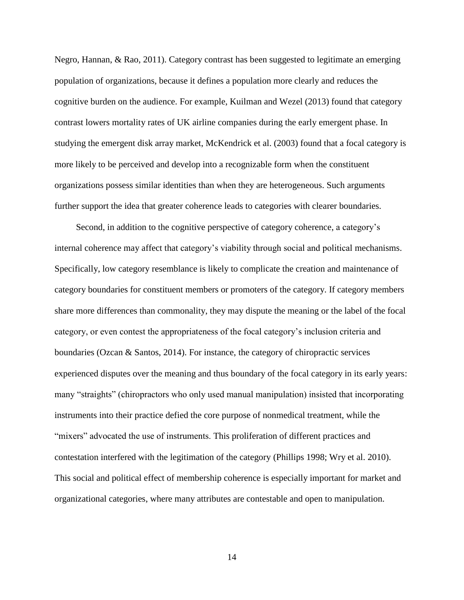Negro, Hannan, & Rao, 2011). Category contrast has been suggested to legitimate an emerging population of organizations, because it defines a population more clearly and reduces the cognitive burden on the audience. For example, Kuilman and Wezel (2013) found that category contrast lowers mortality rates of UK airline companies during the early emergent phase. In studying the emergent disk array market, McKendrick et al. (2003) found that a focal category is more likely to be perceived and develop into a recognizable form when the constituent organizations possess similar identities than when they are heterogeneous. Such arguments further support the idea that greater coherence leads to categories with clearer boundaries.

Second, in addition to the cognitive perspective of category coherence, a category's internal coherence may affect that category's viability through social and political mechanisms. Specifically, low category resemblance is likely to complicate the creation and maintenance of category boundaries for constituent members or promoters of the category. If category members share more differences than commonality, they may dispute the meaning or the label of the focal category, or even contest the appropriateness of the focal category's inclusion criteria and boundaries (Ozcan & Santos, 2014). For instance, the category of chiropractic services experienced disputes over the meaning and thus boundary of the focal category in its early years: many "straights" (chiropractors who only used manual manipulation) insisted that incorporating instruments into their practice defied the core purpose of nonmedical treatment, while the "mixers" advocated the use of instruments. This proliferation of different practices and contestation interfered with the legitimation of the category (Phillips 1998; Wry et al. 2010). This social and political effect of membership coherence is especially important for market and organizational categories, where many attributes are contestable and open to manipulation.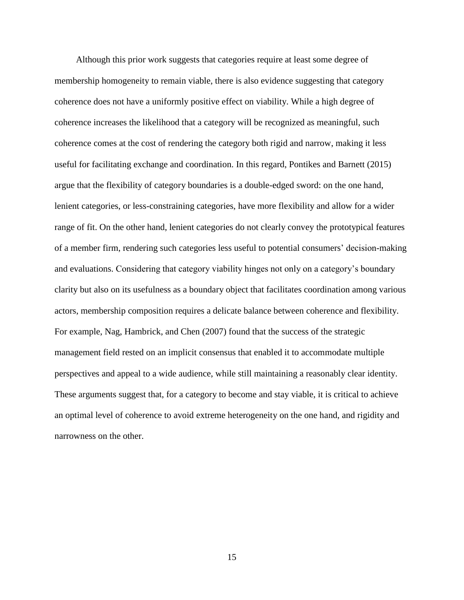Although this prior work suggests that categories require at least some degree of membership homogeneity to remain viable, there is also evidence suggesting that category coherence does not have a uniformly positive effect on viability. While a high degree of coherence increases the likelihood that a category will be recognized as meaningful, such coherence comes at the cost of rendering the category both rigid and narrow, making it less useful for facilitating exchange and coordination. In this regard, Pontikes and Barnett (2015) argue that the flexibility of category boundaries is a double-edged sword: on the one hand, lenient categories, or less-constraining categories, have more flexibility and allow for a wider range of fit. On the other hand, lenient categories do not clearly convey the prototypical features of a member firm, rendering such categories less useful to potential consumers' decision-making and evaluations. Considering that category viability hinges not only on a category's boundary clarity but also on its usefulness as a boundary object that facilitates coordination among various actors, membership composition requires a delicate balance between coherence and flexibility. For example, Nag, Hambrick, and Chen (2007) found that the success of the strategic management field rested on an implicit consensus that enabled it to accommodate multiple perspectives and appeal to a wide audience, while still maintaining a reasonably clear identity. These arguments suggest that, for a category to become and stay viable, it is critical to achieve an optimal level of coherence to avoid extreme heterogeneity on the one hand, and rigidity and narrowness on the other.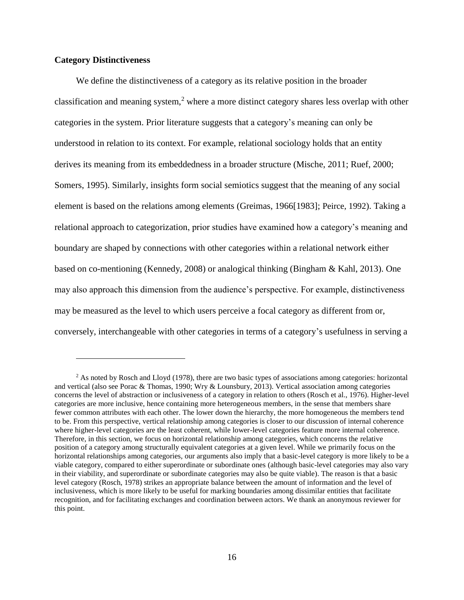## **Category Distinctiveness**

 $\overline{a}$ 

We define the distinctiveness of a category as its relative position in the broader classification and meaning system,<sup>2</sup> where a more distinct category shares less overlap with other categories in the system. Prior literature suggests that a category's meaning can only be understood in relation to its context. For example, relational sociology holds that an entity derives its meaning from its embeddedness in a broader structure (Mische, 2011; Ruef, 2000; Somers, 1995). Similarly, insights form social semiotics suggest that the meaning of any social element is based on the relations among elements (Greimas, 1966[1983]; Peirce, 1992). Taking a relational approach to categorization, prior studies have examined how a category's meaning and boundary are shaped by connections with other categories within a relational network either based on co-mentioning (Kennedy, 2008) or analogical thinking (Bingham & Kahl, 2013). One may also approach this dimension from the audience's perspective. For example, distinctiveness may be measured as the level to which users perceive a focal category as different from or, conversely, interchangeable with other categories in terms of a category's usefulness in serving a

<sup>&</sup>lt;sup>2</sup> As noted by Rosch and Lloyd (1978), there are two basic types of associations among categories: horizontal and vertical (also see Porac & Thomas, 1990; Wry & Lounsbury, 2013). Vertical association among categories concerns the level of abstraction or inclusiveness of a category in relation to others (Rosch et al., 1976). Higher-level categories are more inclusive, hence containing more heterogeneous members, in the sense that members share fewer common attributes with each other. The lower down the hierarchy, the more homogeneous the members tend to be. From this perspective, vertical relationship among categories is closer to our discussion of internal coherence where higher-level categories are the least coherent, while lower-level categories feature more internal coherence. Therefore, in this section, we focus on horizontal relationship among categories, which concerns the relative position of a category among structurally equivalent categories at a given level. While we primarily focus on the horizontal relationships among categories, our arguments also imply that a basic-level category is more likely to be a viable category, compared to either superordinate or subordinate ones (although basic-level categories may also vary in their viability, and superordinate or subordinate categories may also be quite viable). The reason is that a basic level category (Rosch, 1978) strikes an appropriate balance between the amount of information and the level of inclusiveness, which is more likely to be useful for marking boundaries among dissimilar entities that facilitate recognition, and for facilitating exchanges and coordination between actors. We thank an anonymous reviewer for this point.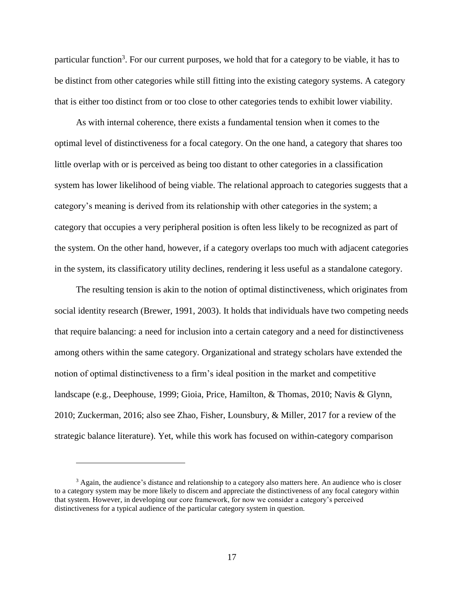particular function<sup>3</sup>. For our current purposes, we hold that for a category to be viable, it has to be distinct from other categories while still fitting into the existing category systems. A category that is either too distinct from or too close to other categories tends to exhibit lower viability.

As with internal coherence, there exists a fundamental tension when it comes to the optimal level of distinctiveness for a focal category. On the one hand, a category that shares too little overlap with or is perceived as being too distant to other categories in a classification system has lower likelihood of being viable. The relational approach to categories suggests that a category's meaning is derived from its relationship with other categories in the system; a category that occupies a very peripheral position is often less likely to be recognized as part of the system. On the other hand, however, if a category overlaps too much with adjacent categories in the system, its classificatory utility declines, rendering it less useful as a standalone category.

The resulting tension is akin to the notion of optimal distinctiveness, which originates from social identity research (Brewer, 1991, 2003). It holds that individuals have two competing needs that require balancing: a need for inclusion into a certain category and a need for distinctiveness among others within the same category. Organizational and strategy scholars have extended the notion of optimal distinctiveness to a firm's ideal position in the market and competitive landscape (e.g., Deephouse, 1999; Gioia, Price, Hamilton, & Thomas, 2010; Navis & Glynn, 2010; Zuckerman, 2016; also see Zhao, Fisher, Lounsbury, & Miller, 2017 for a review of the strategic balance literature). Yet, while this work has focused on within-category comparison

 $\overline{a}$ 

<sup>&</sup>lt;sup>3</sup> Again, the audience's distance and relationship to a category also matters here. An audience who is closer to a category system may be more likely to discern and appreciate the distinctiveness of any focal category within that system. However, in developing our core framework, for now we consider a category's perceived distinctiveness for a typical audience of the particular category system in question.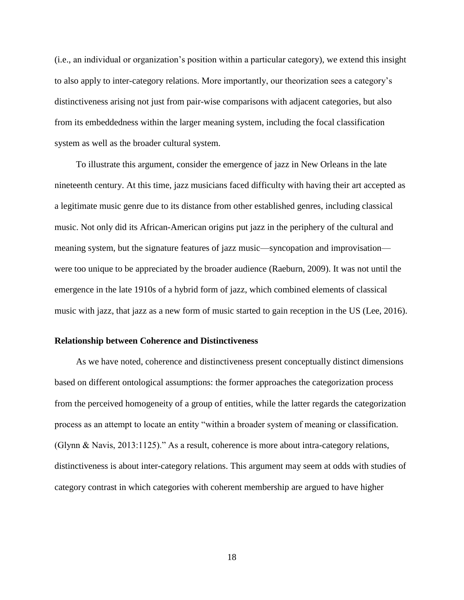(i.e., an individual or organization's position within a particular category), we extend this insight to also apply to inter-category relations. More importantly, our theorization sees a category's distinctiveness arising not just from pair-wise comparisons with adjacent categories, but also from its embeddedness within the larger meaning system, including the focal classification system as well as the broader cultural system.

To illustrate this argument, consider the emergence of jazz in New Orleans in the late nineteenth century. At this time, jazz musicians faced difficulty with having their art accepted as a legitimate music genre due to its distance from other established genres, including classical music. Not only did its African-American origins put jazz in the periphery of the cultural and meaning system, but the signature features of jazz music—syncopation and improvisation were too unique to be appreciated by the broader audience (Raeburn, 2009). It was not until the emergence in the late 1910s of a hybrid form of jazz, which combined elements of classical music with jazz, that jazz as a new form of music started to gain reception in the US (Lee, 2016).

### **Relationship between Coherence and Distinctiveness**

As we have noted, coherence and distinctiveness present conceptually distinct dimensions based on different ontological assumptions: the former approaches the categorization process from the perceived homogeneity of a group of entities, while the latter regards the categorization process as an attempt to locate an entity "within a broader system of meaning or classification. (Glynn & Navis, 2013:1125)." As a result, coherence is more about intra-category relations, distinctiveness is about inter-category relations. This argument may seem at odds with studies of category contrast in which categories with coherent membership are argued to have higher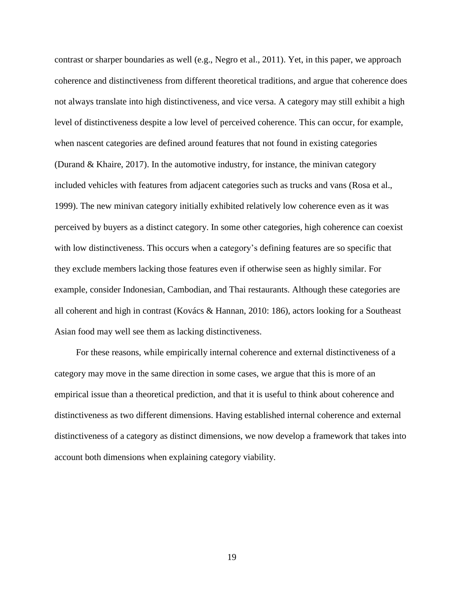contrast or sharper boundaries as well (e.g., Negro et al., 2011). Yet, in this paper, we approach coherence and distinctiveness from different theoretical traditions, and argue that coherence does not always translate into high distinctiveness, and vice versa. A category may still exhibit a high level of distinctiveness despite a low level of perceived coherence. This can occur, for example, when nascent categories are defined around features that not found in existing categories (Durand & Khaire, 2017). In the automotive industry, for instance, the minivan category included vehicles with features from adjacent categories such as trucks and vans (Rosa et al., 1999). The new minivan category initially exhibited relatively low coherence even as it was perceived by buyers as a distinct category. In some other categories, high coherence can coexist with low distinctiveness. This occurs when a category's defining features are so specific that they exclude members lacking those features even if otherwise seen as highly similar. For example, consider Indonesian, Cambodian, and Thai restaurants. Although these categories are all coherent and high in contrast (Kovács & Hannan, 2010: 186), actors looking for a Southeast Asian food may well see them as lacking distinctiveness.

For these reasons, while empirically internal coherence and external distinctiveness of a category may move in the same direction in some cases, we argue that this is more of an empirical issue than a theoretical prediction, and that it is useful to think about coherence and distinctiveness as two different dimensions. Having established internal coherence and external distinctiveness of a category as distinct dimensions, we now develop a framework that takes into account both dimensions when explaining category viability.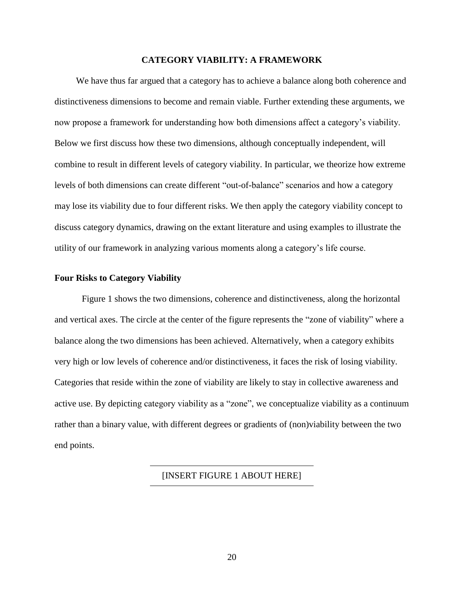### **CATEGORY VIABILITY: A FRAMEWORK**

We have thus far argued that a category has to achieve a balance along both coherence and distinctiveness dimensions to become and remain viable. Further extending these arguments, we now propose a framework for understanding how both dimensions affect a category's viability. Below we first discuss how these two dimensions, although conceptually independent, will combine to result in different levels of category viability. In particular, we theorize how extreme levels of both dimensions can create different "out-of-balance" scenarios and how a category may lose its viability due to four different risks. We then apply the category viability concept to discuss category dynamics, drawing on the extant literature and using examples to illustrate the utility of our framework in analyzing various moments along a category's life course.

### **Four Risks to Category Viability**

Figure 1 shows the two dimensions, coherence and distinctiveness, along the horizontal and vertical axes. The circle at the center of the figure represents the "zone of viability" where a balance along the two dimensions has been achieved. Alternatively, when a category exhibits very high or low levels of coherence and/or distinctiveness, it faces the risk of losing viability. Categories that reside within the zone of viability are likely to stay in collective awareness and active use. By depicting category viability as a "zone", we conceptualize viability as a continuum rather than a binary value, with different degrees or gradients of (non)viability between the two end points.

### [INSERT FIGURE 1 ABOUT HERE]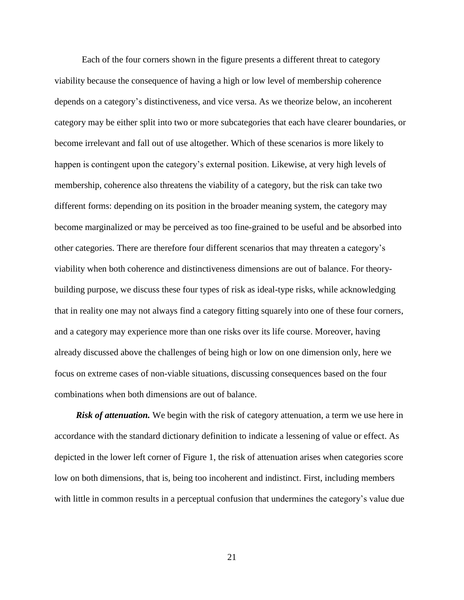Each of the four corners shown in the figure presents a different threat to category viability because the consequence of having a high or low level of membership coherence depends on a category's distinctiveness, and vice versa. As we theorize below, an incoherent category may be either split into two or more subcategories that each have clearer boundaries, or become irrelevant and fall out of use altogether. Which of these scenarios is more likely to happen is contingent upon the category's external position. Likewise, at very high levels of membership, coherence also threatens the viability of a category, but the risk can take two different forms: depending on its position in the broader meaning system, the category may become marginalized or may be perceived as too fine-grained to be useful and be absorbed into other categories. There are therefore four different scenarios that may threaten a category's viability when both coherence and distinctiveness dimensions are out of balance. For theorybuilding purpose, we discuss these four types of risk as ideal-type risks, while acknowledging that in reality one may not always find a category fitting squarely into one of these four corners, and a category may experience more than one risks over its life course. Moreover, having already discussed above the challenges of being high or low on one dimension only, here we focus on extreme cases of non-viable situations, discussing consequences based on the four combinations when both dimensions are out of balance.

*Risk of attenuation.* We begin with the risk of category attenuation, a term we use here in accordance with the standard dictionary definition to indicate a lessening of value or effect. As depicted in the lower left corner of Figure 1, the risk of attenuation arises when categories score low on both dimensions, that is, being too incoherent and indistinct. First, including members with little in common results in a perceptual confusion that undermines the category's value due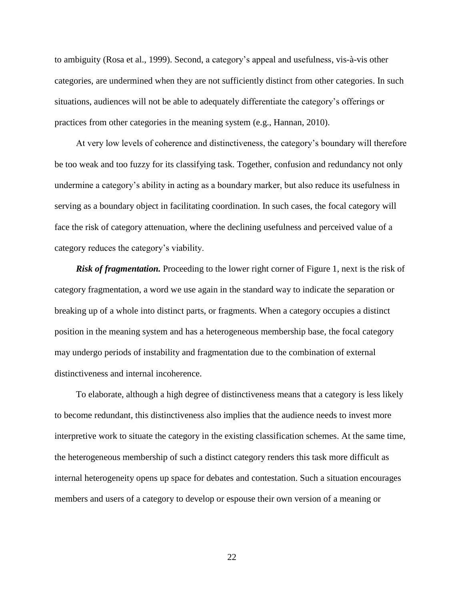to ambiguity (Rosa et al., 1999). Second, a category's appeal and usefulness, vis-à-vis other categories, are undermined when they are not sufficiently distinct from other categories. In such situations, audiences will not be able to adequately differentiate the category's offerings or practices from other categories in the meaning system (e.g., Hannan, 2010).

At very low levels of coherence and distinctiveness, the category's boundary will therefore be too weak and too fuzzy for its classifying task. Together, confusion and redundancy not only undermine a category's ability in acting as a boundary marker, but also reduce its usefulness in serving as a boundary object in facilitating coordination. In such cases, the focal category will face the risk of category attenuation, where the declining usefulness and perceived value of a category reduces the category's viability.

**Risk of fragmentation.** Proceeding to the lower right corner of Figure 1, next is the risk of category fragmentation, a word we use again in the standard way to indicate the separation or breaking up of a whole into distinct parts, or fragments. When a category occupies a distinct position in the meaning system and has a heterogeneous membership base, the focal category may undergo periods of instability and fragmentation due to the combination of external distinctiveness and internal incoherence.

To elaborate, although a high degree of distinctiveness means that a category is less likely to become redundant, this distinctiveness also implies that the audience needs to invest more interpretive work to situate the category in the existing classification schemes. At the same time, the heterogeneous membership of such a distinct category renders this task more difficult as internal heterogeneity opens up space for debates and contestation. Such a situation encourages members and users of a category to develop or espouse their own version of a meaning or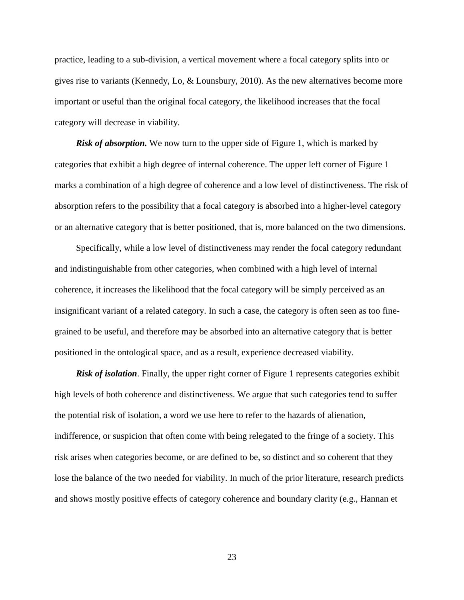practice, leading to a sub-division, a vertical movement where a focal category splits into or gives rise to variants (Kennedy, Lo, & Lounsbury, 2010). As the new alternatives become more important or useful than the original focal category, the likelihood increases that the focal category will decrease in viability.

*Risk of absorption.* We now turn to the upper side of Figure 1, which is marked by categories that exhibit a high degree of internal coherence. The upper left corner of Figure 1 marks a combination of a high degree of coherence and a low level of distinctiveness. The risk of absorption refers to the possibility that a focal category is absorbed into a higher-level category or an alternative category that is better positioned, that is, more balanced on the two dimensions.

Specifically, while a low level of distinctiveness may render the focal category redundant and indistinguishable from other categories, when combined with a high level of internal coherence, it increases the likelihood that the focal category will be simply perceived as an insignificant variant of a related category. In such a case, the category is often seen as too finegrained to be useful, and therefore may be absorbed into an alternative category that is better positioned in the ontological space, and as a result, experience decreased viability.

**Risk of isolation**. Finally, the upper right corner of Figure 1 represents categories exhibit high levels of both coherence and distinctiveness. We argue that such categories tend to suffer the potential risk of isolation, a word we use here to refer to the hazards of alienation, indifference, or suspicion that often come with being relegated to the fringe of a society. This risk arises when categories become, or are defined to be, so distinct and so coherent that they lose the balance of the two needed for viability. In much of the prior literature, research predicts and shows mostly positive effects of category coherence and boundary clarity (e.g., Hannan et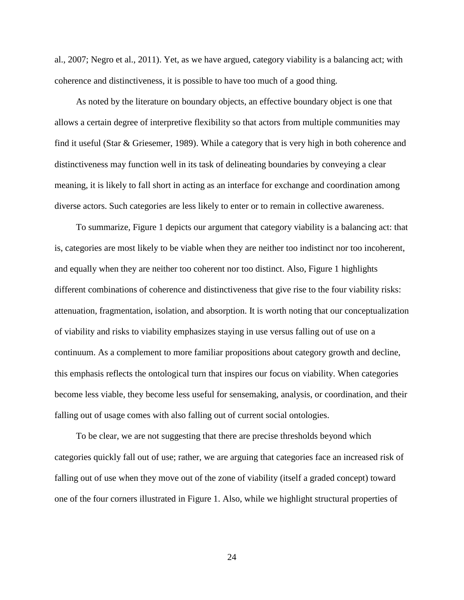al., 2007; Negro et al., 2011). Yet, as we have argued, category viability is a balancing act; with coherence and distinctiveness, it is possible to have too much of a good thing.

As noted by the literature on boundary objects, an effective boundary object is one that allows a certain degree of interpretive flexibility so that actors from multiple communities may find it useful (Star & Griesemer, 1989). While a category that is very high in both coherence and distinctiveness may function well in its task of delineating boundaries by conveying a clear meaning, it is likely to fall short in acting as an interface for exchange and coordination among diverse actors. Such categories are less likely to enter or to remain in collective awareness.

To summarize, Figure 1 depicts our argument that category viability is a balancing act: that is, categories are most likely to be viable when they are neither too indistinct nor too incoherent, and equally when they are neither too coherent nor too distinct. Also, Figure 1 highlights different combinations of coherence and distinctiveness that give rise to the four viability risks: attenuation, fragmentation, isolation, and absorption. It is worth noting that our conceptualization of viability and risks to viability emphasizes staying in use versus falling out of use on a continuum. As a complement to more familiar propositions about category growth and decline, this emphasis reflects the ontological turn that inspires our focus on viability. When categories become less viable, they become less useful for sensemaking, analysis, or coordination, and their falling out of usage comes with also falling out of current social ontologies.

To be clear, we are not suggesting that there are precise thresholds beyond which categories quickly fall out of use; rather, we are arguing that categories face an increased risk of falling out of use when they move out of the zone of viability (itself a graded concept) toward one of the four corners illustrated in Figure 1. Also, while we highlight structural properties of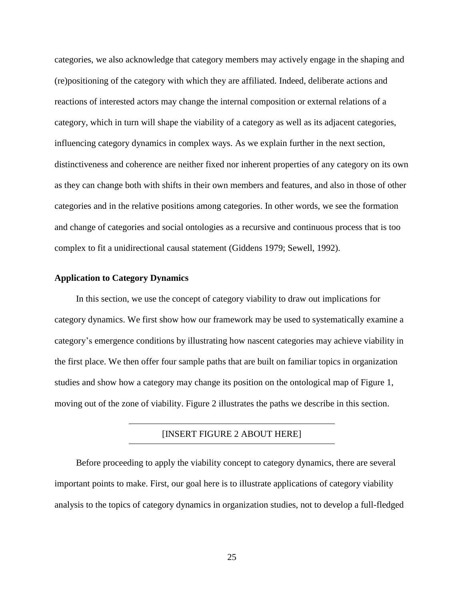categories, we also acknowledge that category members may actively engage in the shaping and (re)positioning of the category with which they are affiliated. Indeed, deliberate actions and reactions of interested actors may change the internal composition or external relations of a category, which in turn will shape the viability of a category as well as its adjacent categories, influencing category dynamics in complex ways. As we explain further in the next section, distinctiveness and coherence are neither fixed nor inherent properties of any category on its own as they can change both with shifts in their own members and features, and also in those of other categories and in the relative positions among categories. In other words, we see the formation and change of categories and social ontologies as a recursive and continuous process that is too complex to fit a unidirectional causal statement (Giddens 1979; Sewell, 1992).

## **Application to Category Dynamics**

In this section, we use the concept of category viability to draw out implications for category dynamics. We first show how our framework may be used to systematically examine a category's emergence conditions by illustrating how nascent categories may achieve viability in the first place. We then offer four sample paths that are built on familiar topics in organization studies and show how a category may change its position on the ontological map of Figure 1, moving out of the zone of viability. Figure 2 illustrates the paths we describe in this section.

# [INSERT FIGURE 2 ABOUT HERE]

Before proceeding to apply the viability concept to category dynamics, there are several important points to make. First, our goal here is to illustrate applications of category viability analysis to the topics of category dynamics in organization studies, not to develop a full-fledged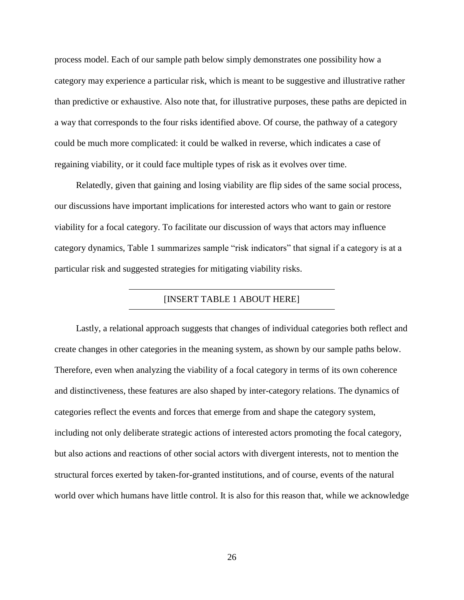process model. Each of our sample path below simply demonstrates one possibility how a category may experience a particular risk, which is meant to be suggestive and illustrative rather than predictive or exhaustive. Also note that, for illustrative purposes, these paths are depicted in a way that corresponds to the four risks identified above. Of course, the pathway of a category could be much more complicated: it could be walked in reverse, which indicates a case of regaining viability, or it could face multiple types of risk as it evolves over time.

Relatedly, given that gaining and losing viability are flip sides of the same social process, our discussions have important implications for interested actors who want to gain or restore viability for a focal category. To facilitate our discussion of ways that actors may influence category dynamics, Table 1 summarizes sample "risk indicators" that signal if a category is at a particular risk and suggested strategies for mitigating viability risks.

# [INSERT TABLE 1 ABOUT HERE]

Lastly, a relational approach suggests that changes of individual categories both reflect and create changes in other categories in the meaning system, as shown by our sample paths below. Therefore, even when analyzing the viability of a focal category in terms of its own coherence and distinctiveness, these features are also shaped by inter-category relations. The dynamics of categories reflect the events and forces that emerge from and shape the category system, including not only deliberate strategic actions of interested actors promoting the focal category, but also actions and reactions of other social actors with divergent interests, not to mention the structural forces exerted by taken-for-granted institutions, and of course, events of the natural world over which humans have little control. It is also for this reason that, while we acknowledge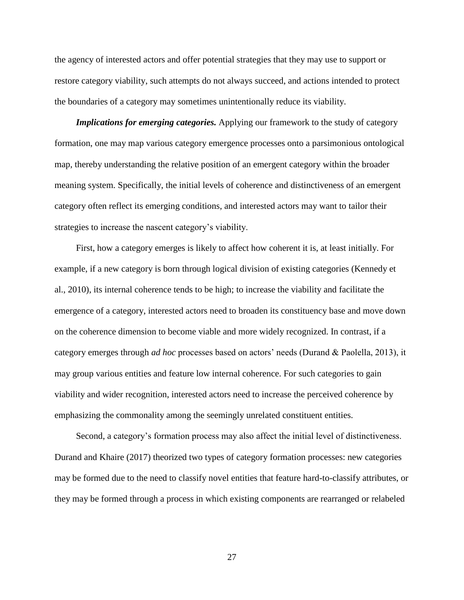the agency of interested actors and offer potential strategies that they may use to support or restore category viability, such attempts do not always succeed, and actions intended to protect the boundaries of a category may sometimes unintentionally reduce its viability.

*Implications for emerging categories.* Applying our framework to the study of category formation, one may map various category emergence processes onto a parsimonious ontological map, thereby understanding the relative position of an emergent category within the broader meaning system. Specifically, the initial levels of coherence and distinctiveness of an emergent category often reflect its emerging conditions, and interested actors may want to tailor their strategies to increase the nascent category's viability.

First, how a category emerges is likely to affect how coherent it is, at least initially. For example, if a new category is born through logical division of existing categories (Kennedy et al., 2010), its internal coherence tends to be high; to increase the viability and facilitate the emergence of a category, interested actors need to broaden its constituency base and move down on the coherence dimension to become viable and more widely recognized. In contrast, if a category emerges through *ad hoc* processes based on actors' needs (Durand & Paolella, 2013), it may group various entities and feature low internal coherence. For such categories to gain viability and wider recognition, interested actors need to increase the perceived coherence by emphasizing the commonality among the seemingly unrelated constituent entities.

Second, a category's formation process may also affect the initial level of distinctiveness. Durand and Khaire (2017) theorized two types of category formation processes: new categories may be formed due to the need to classify novel entities that feature hard-to-classify attributes, or they may be formed through a process in which existing components are rearranged or relabeled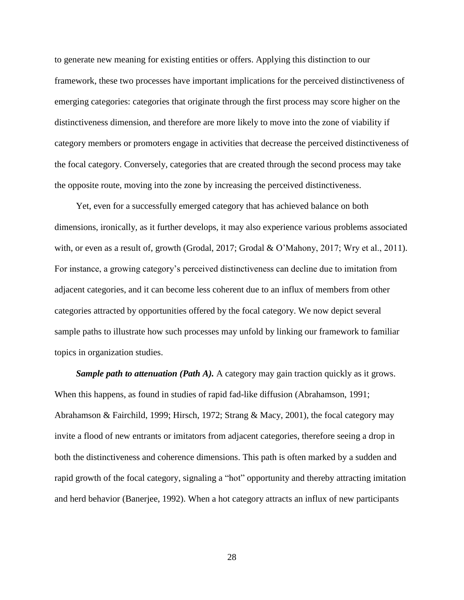to generate new meaning for existing entities or offers. Applying this distinction to our framework, these two processes have important implications for the perceived distinctiveness of emerging categories: categories that originate through the first process may score higher on the distinctiveness dimension, and therefore are more likely to move into the zone of viability if category members or promoters engage in activities that decrease the perceived distinctiveness of the focal category. Conversely, categories that are created through the second process may take the opposite route, moving into the zone by increasing the perceived distinctiveness.

Yet, even for a successfully emerged category that has achieved balance on both dimensions, ironically, as it further develops, it may also experience various problems associated with, or even as a result of, growth (Grodal, 2017; Grodal & O'Mahony, 2017; Wry et al., 2011). For instance, a growing category's perceived distinctiveness can decline due to imitation from adjacent categories, and it can become less coherent due to an influx of members from other categories attracted by opportunities offered by the focal category. We now depict several sample paths to illustrate how such processes may unfold by linking our framework to familiar topics in organization studies.

*Sample path to attenuation (Path A).* A category may gain traction quickly as it grows. When this happens, as found in studies of rapid fad-like diffusion (Abrahamson, 1991; Abrahamson & Fairchild, 1999; Hirsch, 1972; Strang & Macy, 2001), the focal category may invite a flood of new entrants or imitators from adjacent categories, therefore seeing a drop in both the distinctiveness and coherence dimensions. This path is often marked by a sudden and rapid growth of the focal category, signaling a "hot" opportunity and thereby attracting imitation and herd behavior (Banerjee, 1992). When a hot category attracts an influx of new participants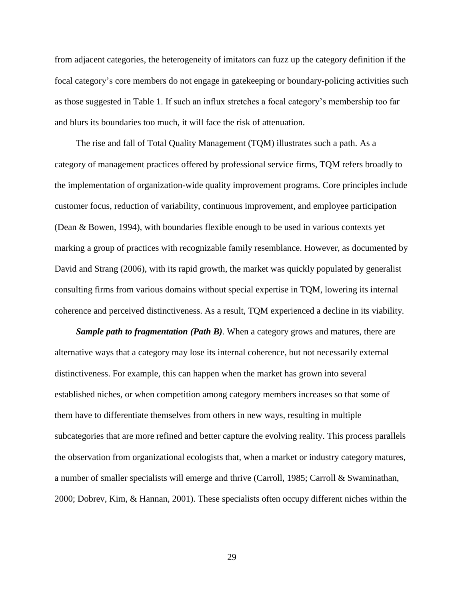from adjacent categories, the heterogeneity of imitators can fuzz up the category definition if the focal category's core members do not engage in gatekeeping or boundary-policing activities such as those suggested in Table 1. If such an influx stretches a focal category's membership too far and blurs its boundaries too much, it will face the risk of attenuation.

The rise and fall of Total Quality Management (TQM) illustrates such a path. As a category of management practices offered by professional service firms, TQM refers broadly to the implementation of organization-wide quality improvement programs. Core principles include customer focus, reduction of variability, continuous improvement, and employee participation (Dean & Bowen, 1994), with boundaries flexible enough to be used in various contexts yet marking a group of practices with recognizable family resemblance. However, as documented by David and Strang (2006), with its rapid growth, the market was quickly populated by generalist consulting firms from various domains without special expertise in TQM, lowering its internal coherence and perceived distinctiveness. As a result, TQM experienced a decline in its viability.

*Sample path to fragmentation (Path B).* When a category grows and matures, there are alternative ways that a category may lose its internal coherence, but not necessarily external distinctiveness. For example, this can happen when the market has grown into several established niches, or when competition among category members increases so that some of them have to differentiate themselves from others in new ways, resulting in multiple subcategories that are more refined and better capture the evolving reality. This process parallels the observation from organizational ecologists that, when a market or industry category matures, a number of smaller specialists will emerge and thrive (Carroll, 1985; Carroll & Swaminathan, 2000; Dobrev, Kim, & Hannan, 2001). These specialists often occupy different niches within the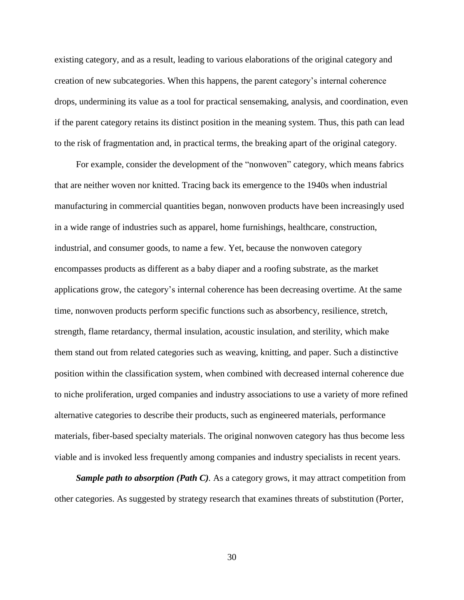existing category, and as a result, leading to various elaborations of the original category and creation of new subcategories. When this happens, the parent category's internal coherence drops, undermining its value as a tool for practical sensemaking, analysis, and coordination, even if the parent category retains its distinct position in the meaning system. Thus, this path can lead to the risk of fragmentation and, in practical terms, the breaking apart of the original category.

For example, consider the development of the "nonwoven" category, which means fabrics that are neither woven nor knitted. Tracing back its emergence to the 1940s when industrial manufacturing in commercial quantities began, nonwoven products have been increasingly used in a wide range of industries such as apparel, home furnishings, healthcare, construction, industrial, and consumer goods, to name a few. Yet, because the nonwoven category encompasses products as different as a baby diaper and a roofing substrate, as the market applications grow, the category's internal coherence has been decreasing overtime. At the same time, nonwoven products perform specific functions such as absorbency, resilience, stretch, strength, flame retardancy, thermal insulation, acoustic insulation, and sterility, which make them stand out from related categories such as weaving, knitting, and paper. Such a distinctive position within the classification system, when combined with decreased internal coherence due to niche proliferation, urged companies and industry associations to use a variety of more refined alternative categories to describe their products, such as engineered materials, performance materials, fiber-based specialty materials. The original nonwoven category has thus become less viable and is invoked less frequently among companies and industry specialists in recent years.

*Sample path to absorption (Path C).* As a category grows, it may attract competition from other categories. As suggested by strategy research that examines threats of substitution (Porter,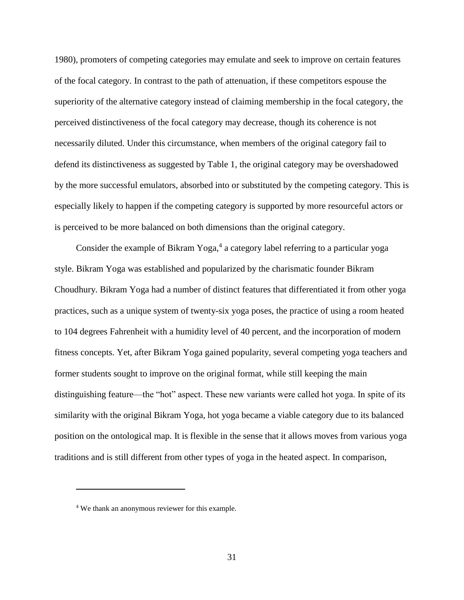1980), promoters of competing categories may emulate and seek to improve on certain features of the focal category. In contrast to the path of attenuation, if these competitors espouse the superiority of the alternative category instead of claiming membership in the focal category, the perceived distinctiveness of the focal category may decrease, though its coherence is not necessarily diluted. Under this circumstance, when members of the original category fail to defend its distinctiveness as suggested by Table 1, the original category may be overshadowed by the more successful emulators, absorbed into or substituted by the competing category. This is especially likely to happen if the competing category is supported by more resourceful actors or is perceived to be more balanced on both dimensions than the original category.

Consider the example of Bikram Yoga, 4 a category label referring to a particular yoga style. Bikram Yoga was established and popularized by the charismatic founder Bikram Choudhury. Bikram Yoga had a number of distinct features that differentiated it from other yoga practices, such as a unique system of twenty-six yoga poses, the practice of using a room heated to 104 degrees Fahrenheit with a humidity level of 40 percent, and the incorporation of modern fitness concepts. Yet, after Bikram Yoga gained popularity, several competing yoga teachers and former students sought to improve on the original format, while still keeping the main distinguishing feature—the "hot" aspect. These new variants were called hot yoga. In spite of its similarity with the original Bikram Yoga, hot yoga became a viable category due to its balanced position on the ontological map. It is flexible in the sense that it allows moves from various yoga traditions and is still different from other types of yoga in the heated aspect. In comparison,

 $\overline{a}$ 

<sup>4</sup> We thank an anonymous reviewer for this example.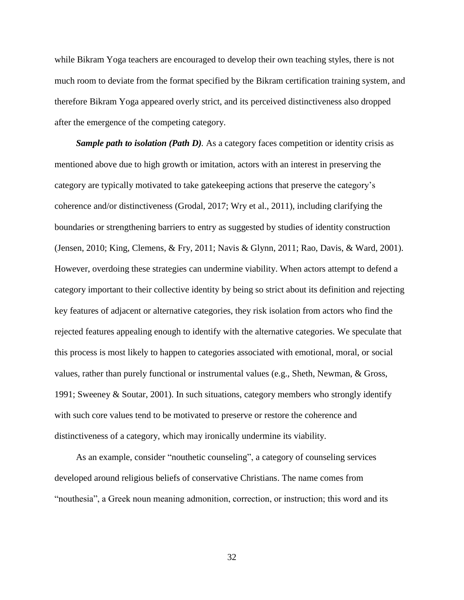while Bikram Yoga teachers are encouraged to develop their own teaching styles, there is not much room to deviate from the format specified by the Bikram certification training system, and therefore Bikram Yoga appeared overly strict, and its perceived distinctiveness also dropped after the emergence of the competing category.

*Sample path to isolation (Path D).* As a category faces competition or identity crisis as mentioned above due to high growth or imitation, actors with an interest in preserving the category are typically motivated to take gatekeeping actions that preserve the category's coherence and/or distinctiveness (Grodal, 2017; Wry et al., 2011), including clarifying the boundaries or strengthening barriers to entry as suggested by studies of identity construction (Jensen, 2010; King, Clemens, & Fry, 2011; Navis & Glynn, 2011; Rao, Davis, & Ward, 2001). However, overdoing these strategies can undermine viability. When actors attempt to defend a category important to their collective identity by being so strict about its definition and rejecting key features of adjacent or alternative categories, they risk isolation from actors who find the rejected features appealing enough to identify with the alternative categories. We speculate that this process is most likely to happen to categories associated with emotional, moral, or social values, rather than purely functional or instrumental values (e.g., Sheth, Newman, & Gross, 1991; Sweeney & Soutar, 2001). In such situations, category members who strongly identify with such core values tend to be motivated to preserve or restore the coherence and distinctiveness of a category, which may ironically undermine its viability.

As an example, consider "nouthetic counseling", a category of counseling services developed around religious beliefs of conservative Christians. The name comes from "nouthesia", a Greek noun meaning admonition, correction, or instruction; this word and its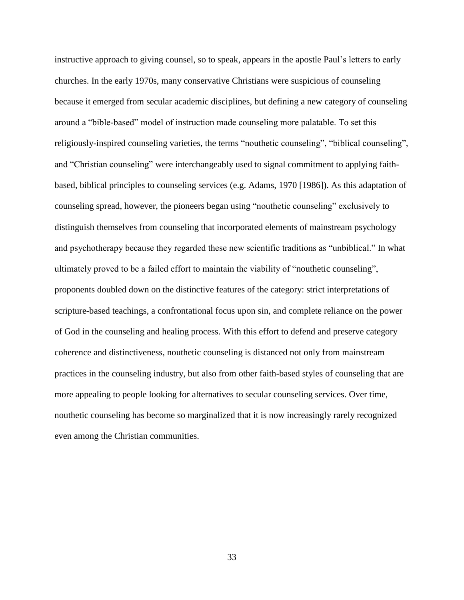instructive approach to giving counsel, so to speak, appears in the apostle Paul's letters to early churches. In the early 1970s, many conservative Christians were suspicious of counseling because it emerged from secular academic disciplines, but defining a new category of counseling around a "bible-based" model of instruction made counseling more palatable. To set this religiously-inspired counseling varieties, the terms "nouthetic counseling", "biblical counseling", and "Christian counseling" were interchangeably used to signal commitment to applying faithbased, biblical principles to counseling services (e.g. Adams, 1970 [1986]). As this adaptation of counseling spread, however, the pioneers began using "nouthetic counseling" exclusively to distinguish themselves from counseling that incorporated elements of mainstream psychology and psychotherapy because they regarded these new scientific traditions as "unbiblical." In what ultimately proved to be a failed effort to maintain the viability of "nouthetic counseling", proponents doubled down on the distinctive features of the category: strict interpretations of scripture-based teachings, a confrontational focus upon sin, and complete reliance on the power of God in the counseling and healing process. With this effort to defend and preserve category coherence and distinctiveness, nouthetic counseling is distanced not only from mainstream practices in the counseling industry, but also from other faith-based styles of counseling that are more appealing to people looking for alternatives to secular counseling services. Over time, nouthetic counseling has become so marginalized that it is now increasingly rarely recognized even among the Christian communities.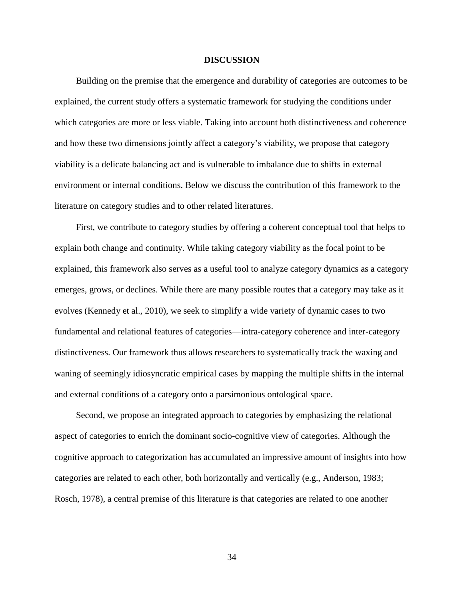#### **DISCUSSION**

Building on the premise that the emergence and durability of categories are outcomes to be explained, the current study offers a systematic framework for studying the conditions under which categories are more or less viable. Taking into account both distinctiveness and coherence and how these two dimensions jointly affect a category's viability, we propose that category viability is a delicate balancing act and is vulnerable to imbalance due to shifts in external environment or internal conditions. Below we discuss the contribution of this framework to the literature on category studies and to other related literatures.

First, we contribute to category studies by offering a coherent conceptual tool that helps to explain both change and continuity. While taking category viability as the focal point to be explained, this framework also serves as a useful tool to analyze category dynamics as a category emerges, grows, or declines. While there are many possible routes that a category may take as it evolves (Kennedy et al., 2010), we seek to simplify a wide variety of dynamic cases to two fundamental and relational features of categories—intra-category coherence and inter-category distinctiveness. Our framework thus allows researchers to systematically track the waxing and waning of seemingly idiosyncratic empirical cases by mapping the multiple shifts in the internal and external conditions of a category onto a parsimonious ontological space.

Second, we propose an integrated approach to categories by emphasizing the relational aspect of categories to enrich the dominant socio-cognitive view of categories. Although the cognitive approach to categorization has accumulated an impressive amount of insights into how categories are related to each other, both horizontally and vertically (e.g., Anderson, 1983; Rosch, 1978), a central premise of this literature is that categories are related to one another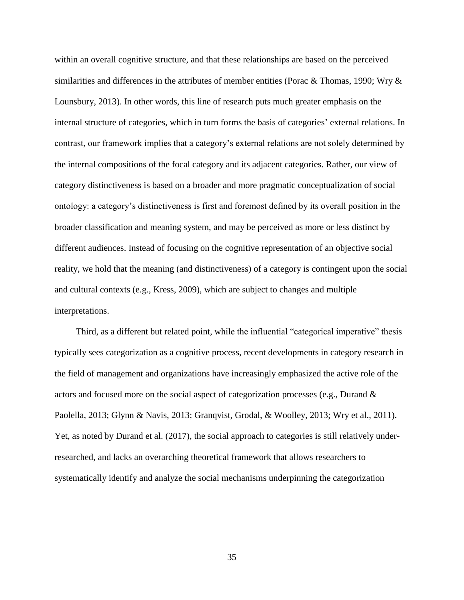within an overall cognitive structure, and that these relationships are based on the perceived similarities and differences in the attributes of member entities (Porac & Thomas, 1990; Wry & Lounsbury, 2013). In other words, this line of research puts much greater emphasis on the internal structure of categories, which in turn forms the basis of categories' external relations. In contrast, our framework implies that a category's external relations are not solely determined by the internal compositions of the focal category and its adjacent categories. Rather, our view of category distinctiveness is based on a broader and more pragmatic conceptualization of social ontology: a category's distinctiveness is first and foremost defined by its overall position in the broader classification and meaning system, and may be perceived as more or less distinct by different audiences. Instead of focusing on the cognitive representation of an objective social reality, we hold that the meaning (and distinctiveness) of a category is contingent upon the social and cultural contexts (e.g., Kress, 2009), which are subject to changes and multiple interpretations.

Third, as a different but related point, while the influential "categorical imperative" thesis typically sees categorization as a cognitive process, recent developments in category research in the field of management and organizations have increasingly emphasized the active role of the actors and focused more on the social aspect of categorization processes (e.g., Durand & Paolella, 2013; Glynn & Navis, 2013; Granqvist, Grodal, & Woolley, 2013; Wry et al., 2011). Yet, as noted by Durand et al. (2017), the social approach to categories is still relatively underresearched, and lacks an overarching theoretical framework that allows researchers to systematically identify and analyze the social mechanisms underpinning the categorization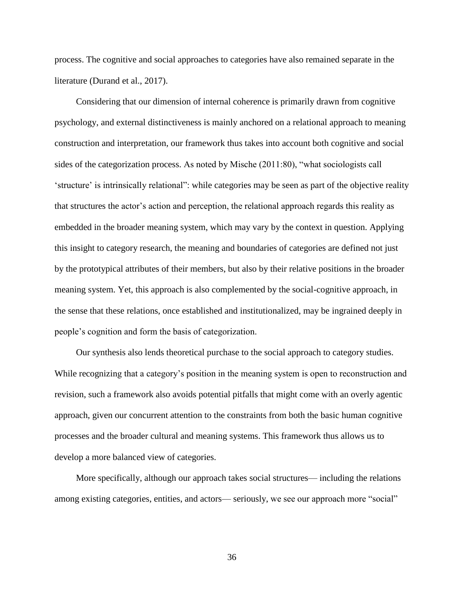process. The cognitive and social approaches to categories have also remained separate in the literature (Durand et al., 2017).

Considering that our dimension of internal coherence is primarily drawn from cognitive psychology, and external distinctiveness is mainly anchored on a relational approach to meaning construction and interpretation, our framework thus takes into account both cognitive and social sides of the categorization process. As noted by Mische (2011:80), "what sociologists call 'structure' is intrinsically relational": while categories may be seen as part of the objective reality that structures the actor's action and perception, the relational approach regards this reality as embedded in the broader meaning system, which may vary by the context in question. Applying this insight to category research, the meaning and boundaries of categories are defined not just by the prototypical attributes of their members, but also by their relative positions in the broader meaning system. Yet, this approach is also complemented by the social-cognitive approach, in the sense that these relations, once established and institutionalized, may be ingrained deeply in people's cognition and form the basis of categorization.

Our synthesis also lends theoretical purchase to the social approach to category studies. While recognizing that a category's position in the meaning system is open to reconstruction and revision, such a framework also avoids potential pitfalls that might come with an overly agentic approach, given our concurrent attention to the constraints from both the basic human cognitive processes and the broader cultural and meaning systems. This framework thus allows us to develop a more balanced view of categories.

More specifically, although our approach takes social structures— including the relations among existing categories, entities, and actors— seriously, we see our approach more "social"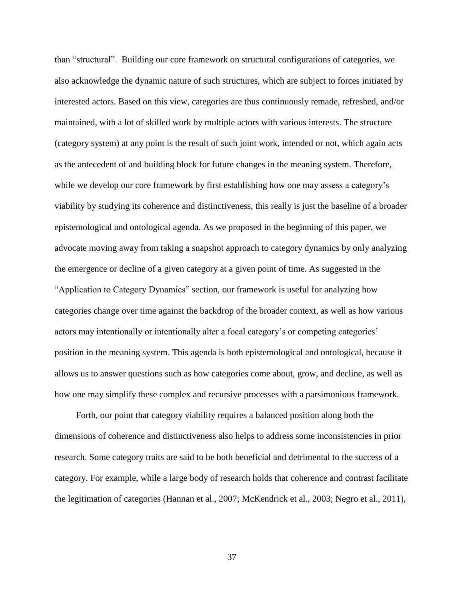than "structural". Building our core framework on structural configurations of categories, we also acknowledge the dynamic nature of such structures, which are subject to forces initiated by interested actors. Based on this view, categories are thus continuously remade, refreshed, and/or maintained, with a lot of skilled work by multiple actors with various interests. The structure (category system) at any point is the result of such joint work, intended or not, which again acts as the antecedent of and building block for future changes in the meaning system. Therefore, while we develop our core framework by first establishing how one may assess a category's viability by studying its coherence and distinctiveness, this really is just the baseline of a broader epistemological and ontological agenda. As we proposed in the beginning of this paper, we advocate moving away from taking a snapshot approach to category dynamics by only analyzing the emergence or decline of a given category at a given point of time. As suggested in the "Application to Category Dynamics" section, our framework is useful for analyzing how categories change over time against the backdrop of the broader context, as well as how various actors may intentionally or intentionally alter a focal category's or competing categories' position in the meaning system. This agenda is both epistemological and ontological, because it allows us to answer questions such as how categories come about, grow, and decline, as well as how one may simplify these complex and recursive processes with a parsimonious framework.

Forth, our point that category viability requires a balanced position along both the dimensions of coherence and distinctiveness also helps to address some inconsistencies in prior research. Some category traits are said to be both beneficial and detrimental to the success of a category. For example, while a large body of research holds that coherence and contrast facilitate the legitimation of categories (Hannan et al., 2007; McKendrick et al., 2003; Negro et al., 2011),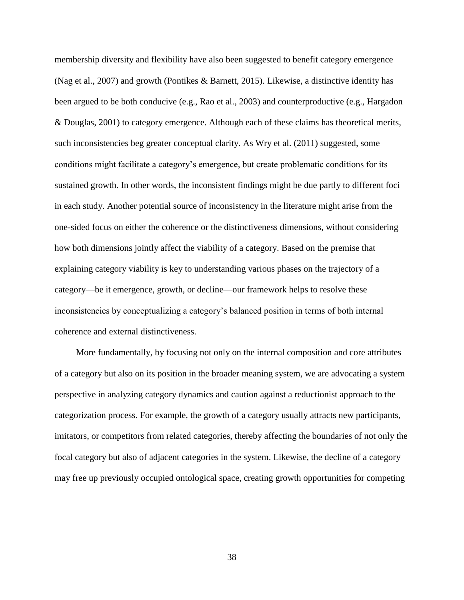membership diversity and flexibility have also been suggested to benefit category emergence (Nag et al., 2007) and growth (Pontikes & Barnett, 2015). Likewise, a distinctive identity has been argued to be both conducive (e.g., Rao et al., 2003) and counterproductive (e.g., Hargadon & Douglas, 2001) to category emergence. Although each of these claims has theoretical merits, such inconsistencies beg greater conceptual clarity. As Wry et al. (2011) suggested, some conditions might facilitate a category's emergence, but create problematic conditions for its sustained growth. In other words, the inconsistent findings might be due partly to different foci in each study. Another potential source of inconsistency in the literature might arise from the one-sided focus on either the coherence or the distinctiveness dimensions, without considering how both dimensions jointly affect the viability of a category. Based on the premise that explaining category viability is key to understanding various phases on the trajectory of a category—be it emergence, growth, or decline—our framework helps to resolve these inconsistencies by conceptualizing a category's balanced position in terms of both internal coherence and external distinctiveness.

More fundamentally, by focusing not only on the internal composition and core attributes of a category but also on its position in the broader meaning system, we are advocating a system perspective in analyzing category dynamics and caution against a reductionist approach to the categorization process. For example, the growth of a category usually attracts new participants, imitators, or competitors from related categories, thereby affecting the boundaries of not only the focal category but also of adjacent categories in the system. Likewise, the decline of a category may free up previously occupied ontological space, creating growth opportunities for competing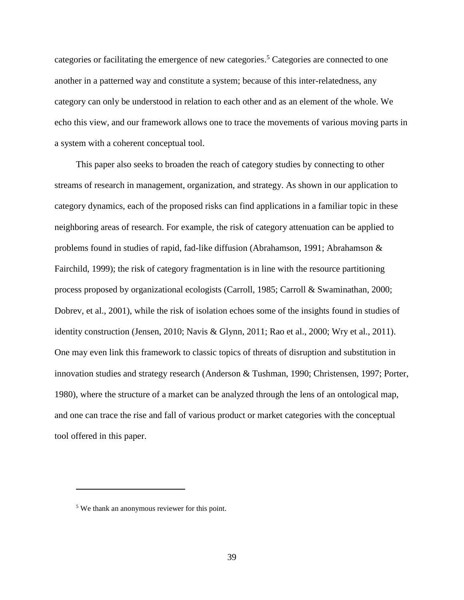categories or facilitating the emergence of new categories. <sup>5</sup> Categories are connected to one another in a patterned way and constitute a system; because of this inter-relatedness, any category can only be understood in relation to each other and as an element of the whole. We echo this view, and our framework allows one to trace the movements of various moving parts in a system with a coherent conceptual tool.

This paper also seeks to broaden the reach of category studies by connecting to other streams of research in management, organization, and strategy. As shown in our application to category dynamics, each of the proposed risks can find applications in a familiar topic in these neighboring areas of research. For example, the risk of category attenuation can be applied to problems found in studies of rapid, fad-like diffusion (Abrahamson, 1991; Abrahamson & Fairchild, 1999); the risk of category fragmentation is in line with the resource partitioning process proposed by organizational ecologists (Carroll, 1985; Carroll & Swaminathan, 2000; Dobrev, et al., 2001), while the risk of isolation echoes some of the insights found in studies of identity construction (Jensen, 2010; Navis & Glynn, 2011; Rao et al., 2000; Wry et al., 2011). One may even link this framework to classic topics of threats of disruption and substitution in innovation studies and strategy research (Anderson & Tushman, 1990; Christensen, 1997; Porter, 1980), where the structure of a market can be analyzed through the lens of an ontological map, and one can trace the rise and fall of various product or market categories with the conceptual tool offered in this paper.

 $\overline{a}$ 

<sup>5</sup> We thank an anonymous reviewer for this point.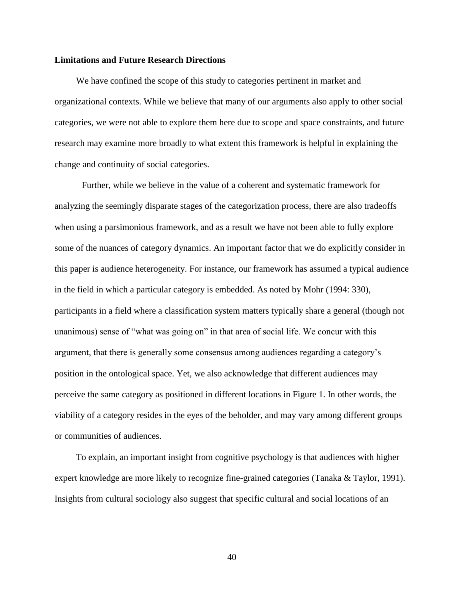### **Limitations and Future Research Directions**

We have confined the scope of this study to categories pertinent in market and organizational contexts. While we believe that many of our arguments also apply to other social categories, we were not able to explore them here due to scope and space constraints, and future research may examine more broadly to what extent this framework is helpful in explaining the change and continuity of social categories.

Further, while we believe in the value of a coherent and systematic framework for analyzing the seemingly disparate stages of the categorization process, there are also tradeoffs when using a parsimonious framework, and as a result we have not been able to fully explore some of the nuances of category dynamics. An important factor that we do explicitly consider in this paper is audience heterogeneity. For instance, our framework has assumed a typical audience in the field in which a particular category is embedded. As noted by Mohr (1994: 330), participants in a field where a classification system matters typically share a general (though not unanimous) sense of "what was going on" in that area of social life. We concur with this argument, that there is generally some consensus among audiences regarding a category's position in the ontological space. Yet, we also acknowledge that different audiences may perceive the same category as positioned in different locations in Figure 1. In other words, the viability of a category resides in the eyes of the beholder, and may vary among different groups or communities of audiences.

To explain, an important insight from cognitive psychology is that audiences with higher expert knowledge are more likely to recognize fine-grained categories (Tanaka & Taylor, 1991). Insights from cultural sociology also suggest that specific cultural and social locations of an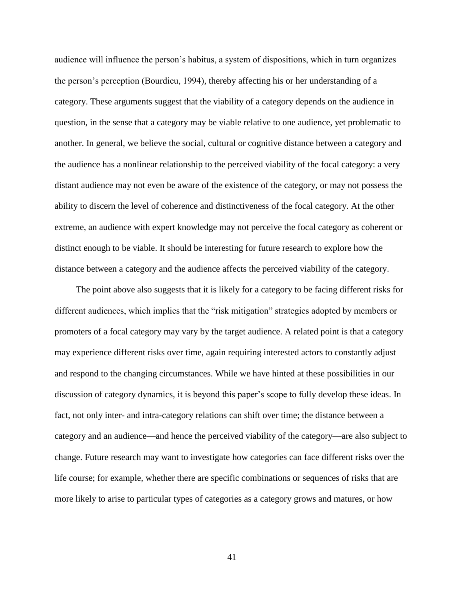audience will influence the person's habitus, a system of dispositions, which in turn organizes the person's perception (Bourdieu, 1994), thereby affecting his or her understanding of a category. These arguments suggest that the viability of a category depends on the audience in question, in the sense that a category may be viable relative to one audience, yet problematic to another. In general, we believe the social, cultural or cognitive distance between a category and the audience has a nonlinear relationship to the perceived viability of the focal category: a very distant audience may not even be aware of the existence of the category, or may not possess the ability to discern the level of coherence and distinctiveness of the focal category. At the other extreme, an audience with expert knowledge may not perceive the focal category as coherent or distinct enough to be viable. It should be interesting for future research to explore how the distance between a category and the audience affects the perceived viability of the category.

The point above also suggests that it is likely for a category to be facing different risks for different audiences, which implies that the "risk mitigation" strategies adopted by members or promoters of a focal category may vary by the target audience. A related point is that a category may experience different risks over time, again requiring interested actors to constantly adjust and respond to the changing circumstances. While we have hinted at these possibilities in our discussion of category dynamics, it is beyond this paper's scope to fully develop these ideas. In fact, not only inter- and intra-category relations can shift over time; the distance between a category and an audience—and hence the perceived viability of the category—are also subject to change. Future research may want to investigate how categories can face different risks over the life course; for example, whether there are specific combinations or sequences of risks that are more likely to arise to particular types of categories as a category grows and matures, or how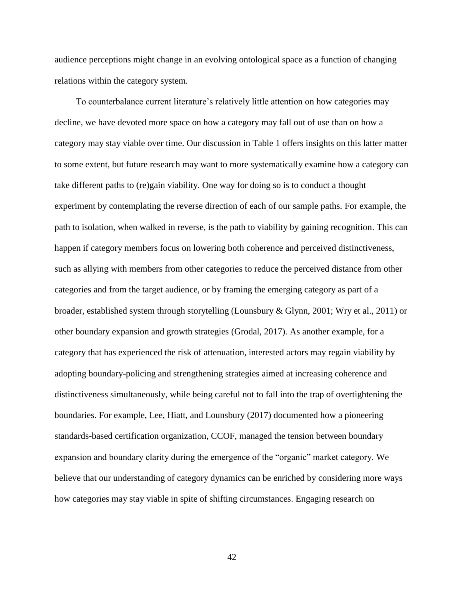audience perceptions might change in an evolving ontological space as a function of changing relations within the category system.

To counterbalance current literature's relatively little attention on how categories may decline, we have devoted more space on how a category may fall out of use than on how a category may stay viable over time. Our discussion in Table 1 offers insights on this latter matter to some extent, but future research may want to more systematically examine how a category can take different paths to (re)gain viability. One way for doing so is to conduct a thought experiment by contemplating the reverse direction of each of our sample paths. For example, the path to isolation, when walked in reverse, is the path to viability by gaining recognition. This can happen if category members focus on lowering both coherence and perceived distinctiveness, such as allying with members from other categories to reduce the perceived distance from other categories and from the target audience, or by framing the emerging category as part of a broader, established system through storytelling (Lounsbury & Glynn, 2001; Wry et al., 2011) or other boundary expansion and growth strategies (Grodal, 2017). As another example, for a category that has experienced the risk of attenuation, interested actors may regain viability by adopting boundary-policing and strengthening strategies aimed at increasing coherence and distinctiveness simultaneously, while being careful not to fall into the trap of overtightening the boundaries. For example, Lee, Hiatt, and Lounsbury (2017) documented how a pioneering standards-based certification organization, CCOF, managed the tension between boundary expansion and boundary clarity during the emergence of the "organic" market category. We believe that our understanding of category dynamics can be enriched by considering more ways how categories may stay viable in spite of shifting circumstances. Engaging research on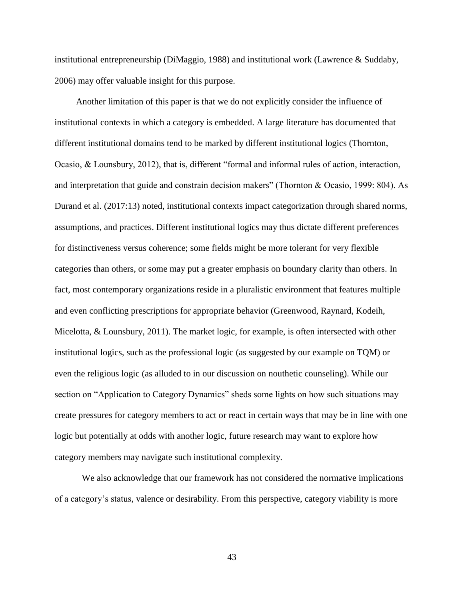institutional entrepreneurship (DiMaggio, 1988) and institutional work (Lawrence & Suddaby, 2006) may offer valuable insight for this purpose.

Another limitation of this paper is that we do not explicitly consider the influence of institutional contexts in which a category is embedded. A large literature has documented that different institutional domains tend to be marked by different institutional logics (Thornton, Ocasio, & Lounsbury, 2012), that is, different "formal and informal rules of action, interaction, and interpretation that guide and constrain decision makers" (Thornton & Ocasio, 1999: 804). As Durand et al. (2017:13) noted, institutional contexts impact categorization through shared norms, assumptions, and practices. Different institutional logics may thus dictate different preferences for distinctiveness versus coherence; some fields might be more tolerant for very flexible categories than others, or some may put a greater emphasis on boundary clarity than others. In fact, most contemporary organizations reside in a pluralistic environment that features multiple and even conflicting prescriptions for appropriate behavior (Greenwood, Raynard, Kodeih, Micelotta, & Lounsbury, 2011). The market logic, for example, is often intersected with other institutional logics, such as the professional logic (as suggested by our example on TQM) or even the religious logic (as alluded to in our discussion on nouthetic counseling). While our section on "Application to Category Dynamics" sheds some lights on how such situations may create pressures for category members to act or react in certain ways that may be in line with one logic but potentially at odds with another logic, future research may want to explore how category members may navigate such institutional complexity.

We also acknowledge that our framework has not considered the normative implications of a category's status, valence or desirability. From this perspective, category viability is more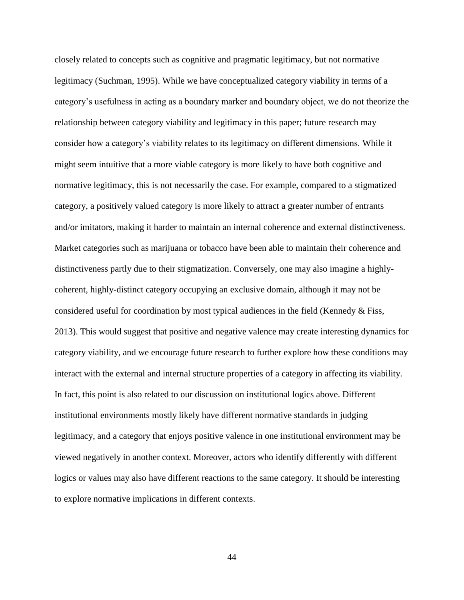closely related to concepts such as cognitive and pragmatic legitimacy, but not normative legitimacy (Suchman, 1995). While we have conceptualized category viability in terms of a category's usefulness in acting as a boundary marker and boundary object, we do not theorize the relationship between category viability and legitimacy in this paper; future research may consider how a category's viability relates to its legitimacy on different dimensions. While it might seem intuitive that a more viable category is more likely to have both cognitive and normative legitimacy, this is not necessarily the case. For example, compared to a stigmatized category, a positively valued category is more likely to attract a greater number of entrants and/or imitators, making it harder to maintain an internal coherence and external distinctiveness. Market categories such as marijuana or tobacco have been able to maintain their coherence and distinctiveness partly due to their stigmatization. Conversely, one may also imagine a highlycoherent, highly-distinct category occupying an exclusive domain, although it may not be considered useful for coordination by most typical audiences in the field (Kennedy & Fiss, 2013). This would suggest that positive and negative valence may create interesting dynamics for category viability, and we encourage future research to further explore how these conditions may interact with the external and internal structure properties of a category in affecting its viability. In fact, this point is also related to our discussion on institutional logics above. Different institutional environments mostly likely have different normative standards in judging legitimacy, and a category that enjoys positive valence in one institutional environment may be viewed negatively in another context. Moreover, actors who identify differently with different logics or values may also have different reactions to the same category. It should be interesting to explore normative implications in different contexts.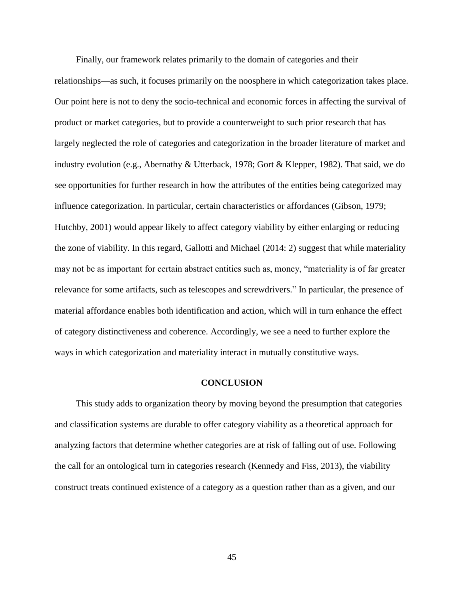Finally, our framework relates primarily to the domain of categories and their relationships—as such, it focuses primarily on the noosphere in which categorization takes place. Our point here is not to deny the socio-technical and economic forces in affecting the survival of product or market categories, but to provide a counterweight to such prior research that has largely neglected the role of categories and categorization in the broader literature of market and industry evolution (e.g., Abernathy & Utterback, 1978; Gort & Klepper, 1982). That said, we do see opportunities for further research in how the attributes of the entities being categorized may influence categorization. In particular, certain characteristics or affordances (Gibson, 1979; Hutchby, 2001) would appear likely to affect category viability by either enlarging or reducing the zone of viability. In this regard, Gallotti and Michael (2014: 2) suggest that while materiality may not be as important for certain abstract entities such as, money, "materiality is of far greater relevance for some artifacts, such as telescopes and screwdrivers." In particular, the presence of material affordance enables both identification and action, which will in turn enhance the effect of category distinctiveness and coherence. Accordingly, we see a need to further explore the ways in which categorization and materiality interact in mutually constitutive ways.

#### **CONCLUSION**

This study adds to organization theory by moving beyond the presumption that categories and classification systems are durable to offer category viability as a theoretical approach for analyzing factors that determine whether categories are at risk of falling out of use. Following the call for an ontological turn in categories research (Kennedy and Fiss, 2013), the viability construct treats continued existence of a category as a question rather than as a given, and our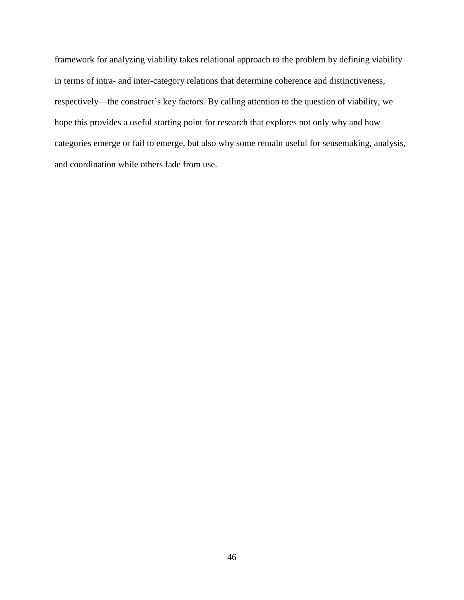framework for analyzing viability takes relational approach to the problem by defining viability in terms of intra- and inter-category relations that determine coherence and distinctiveness, respectively—the construct's key factors. By calling attention to the question of viability, we hope this provides a useful starting point for research that explores not only why and how categories emerge or fail to emerge, but also why some remain useful for sensemaking, analysis, and coordination while others fade from use.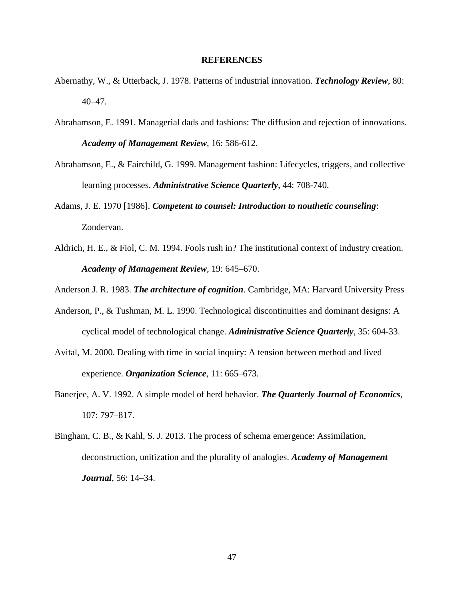### **REFERENCES**

- Abernathy, W., & Utterback, J. 1978. Patterns of industrial innovation. *Technology Review*, 80: 40–47.
- Abrahamson, E. 1991. Managerial dads and fashions: The diffusion and rejection of innovations. *Academy of Management Review*, 16: 586-612.
- Abrahamson, E., & Fairchild, G. 1999. Management fashion: Lifecycles, triggers, and collective learning processes. *Administrative Science Quarterly*, 44: 708-740.
- Adams, J. E. 1970 [1986]. *Competent to counsel: Introduction to nouthetic counseling*: Zondervan.
- Aldrich, H. E., & Fiol, C. M. 1994. Fools rush in? The institutional context of industry creation. *Academy of Management Review*, 19: 645–670.

Anderson J. R. 1983. *The architecture of cognition*. Cambridge, MA: Harvard University Press

- Anderson, P., & Tushman, M. L. 1990. Technological discontinuities and dominant designs: A cyclical model of technological change. *Administrative Science Quarterly*, 35: 604-33.
- Avital, M. 2000. Dealing with time in social inquiry: A tension between method and lived experience. *Organization Science*, 11: 665–673.
- Banerjee, A. V. 1992. A simple model of herd behavior. *The Quarterly Journal of Economics*, 107: 797–817.
- Bingham, C. B., & Kahl, S. J. 2013. The process of schema emergence: Assimilation, deconstruction, unitization and the plurality of analogies. *Academy of Management Journal*, 56: 14–34.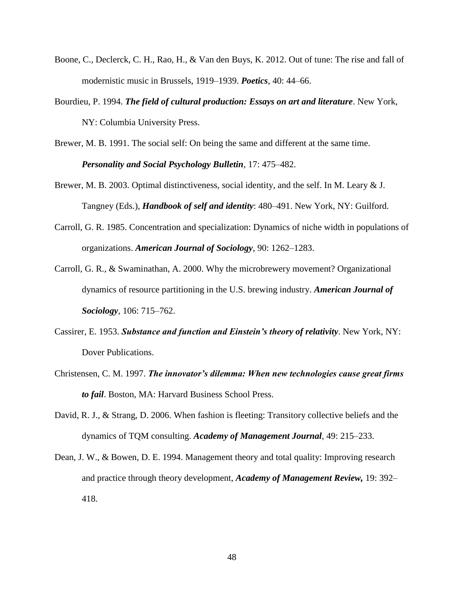- Boone, C., Declerck, C. H., Rao, H., & Van den Buys, K. 2012. Out of tune: The rise and fall of modernistic music in Brussels, 1919–1939. *Poetics*, 40: 44–66.
- Bourdieu, P. 1994. *The field of cultural production: Essays on art and literature*. New York, NY: Columbia University Press.
- Brewer, M. B. 1991. The social self: On being the same and different at the same time. *Personality and Social Psychology Bulletin*, 17: 475–482.
- Brewer, M. B. 2003. Optimal distinctiveness, social identity, and the self. In M. Leary & J. Tangney (Eds.), *Handbook of self and identity*: 480–491. New York, NY: Guilford.
- Carroll, G. R. 1985. Concentration and specialization: Dynamics of niche width in populations of organizations. *American Journal of Sociology*, 90: 1262–1283.
- Carroll, G. R., & Swaminathan, A. 2000. Why the microbrewery movement? Organizational dynamics of resource partitioning in the U.S. brewing industry. *American Journal of Sociology*, 106: 715–762.
- Cassirer, E. 1953. *Substance and function and Einstein's theory of relativity*. New York, NY: Dover Publications.
- Christensen, C. M. 1997. *The innovator's dilemma: When new technologies cause great firms to fail*. Boston, MA: Harvard Business School Press.
- David, R. J., & Strang, D. 2006. When fashion is fleeting: Transitory collective beliefs and the dynamics of TQM consulting. *Academy of Management Journal*, 49: 215–233.
- Dean, J. W., & Bowen, D. E. 1994. Management theory and total quality: Improving research and practice through theory development, *Academy of Management Review,* 19: 392– 418.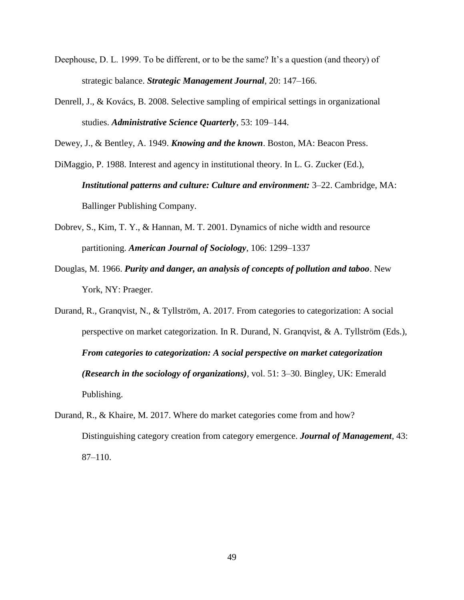- Deephouse, D. L. 1999. To be different, or to be the same? It's a question (and theory) of strategic balance. *Strategic Management Journal*, 20: 147–166.
- Denrell, J., & Kovács, B. 2008. Selective sampling of empirical settings in organizational studies. *Administrative Science Quarterly*, 53: 109–144.

Dewey, J., & Bentley, A. 1949. *Knowing and the known*. Boston, MA: Beacon Press.

- DiMaggio, P. 1988. Interest and agency in institutional theory. In L. G. Zucker (Ed.), *Institutional patterns and culture: Culture and environment:* 3–22. Cambridge, MA: Ballinger Publishing Company.
- Dobrev, S., Kim, T. Y., & Hannan, M. T. 2001. Dynamics of niche width and resource partitioning. *American Journal of Sociology*, 106: 1299–1337
- Douglas, M. 1966. *Purity and danger, an analysis of concepts of pollution and taboo*. New York, NY: Praeger.
- Durand, R., Granqvist, N., & Tyllström, A. 2017. From categories to categorization: A social perspective on market categorization. In R. Durand, N. Granqvist, & A. Tyllström (Eds.), *From categories to categorization: A social perspective on market categorization (Research in the sociology of organizations)*, vol. 51: 3–30. Bingley, UK: Emerald Publishing.
- Durand, R., & Khaire, M. 2017. Where do market categories come from and how? Distinguishing category creation from category emergence. *Journal of Management*, 43: 87–110.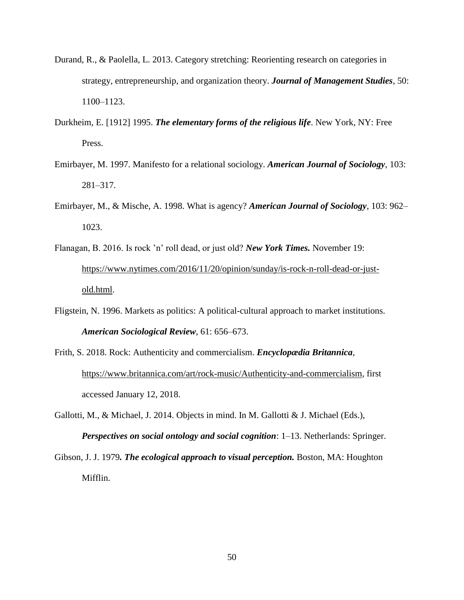- Durand, R., & Paolella, L. 2013. Category stretching: Reorienting research on categories in strategy, entrepreneurship, and organization theory. *Journal of Management Studies*, 50: 1100–1123.
- Durkheim, E. [1912] 1995. *The elementary forms of the religious life*. New York, NY: Free Press.
- Emirbayer, M. 1997. Manifesto for a relational sociology. *American Journal of Sociology*, 103: 281–317.
- Emirbayer, M., & Mische, A. 1998. What is agency? *American Journal of Sociology*, 103: 962– 1023.
- Flanagan, B. 2016. Is rock 'n' roll dead, or just old? *New York Times.* November 19: [https://www.nytimes.com/2016/11/20/opinion/sunday/is-rock-n-roll-dead-or-just](https://www.nytimes.com/2016/11/20/opinion/sunday/is-rock-n-roll-dead-or-just-old.html)[old.html.](https://www.nytimes.com/2016/11/20/opinion/sunday/is-rock-n-roll-dead-or-just-old.html)
- Fligstein, N. 1996. Markets as politics: A political-cultural approach to market institutions. *American Sociological Review*, 61: 656–673.
- Frith, S. 2018. Rock: Authenticity and commercialism. *Encyclopædia Britannica*, [https://www.britannica.com/art/rock-music/Authenticity-and-commercialism,](https://www.britannica.com/art/rock-music/Authenticity-and-commercialism) first accessed January 12, 2018.
- Gallotti, M., & Michael, J. 2014. Objects in mind. In M. Gallotti & J. Michael (Eds.), *Perspectives on social ontology and social cognition*: 1–13. Netherlands: Springer.
- Gibson, J. J. 1979*. The ecological approach to visual perception.* Boston, MA: Houghton Mifflin.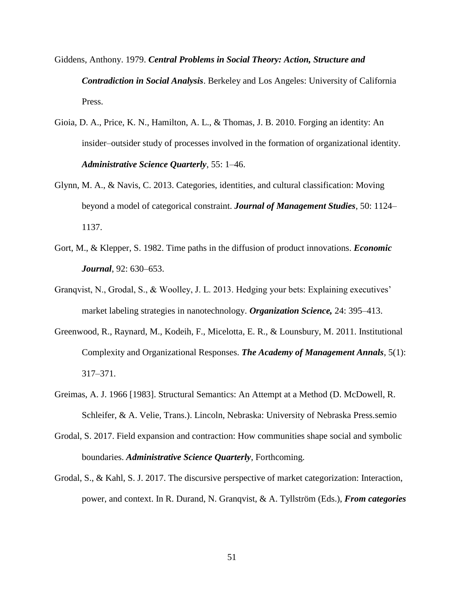- Giddens, Anthony. 1979. *Central Problems in Social Theory: Action, Structure and Contradiction in Social Analysis*. Berkeley and Los Angeles: University of California Press.
- Gioia, D. A., Price, K. N., Hamilton, A. L., & Thomas, J. B. 2010. Forging an identity: An insider–outsider study of processes involved in the formation of organizational identity. *Administrative Science Quarterly*, 55: 1–46.
- Glynn, M. A., & Navis, C. 2013. Categories, identities, and cultural classification: Moving beyond a model of categorical constraint. *Journal of Management Studies*, 50: 1124– 1137.
- Gort, M., & Klepper, S. 1982. Time paths in the diffusion of product innovations. *Economic Journal*, 92: 630–653.
- Granqvist, N., Grodal, S., & Woolley, J. L. 2013. Hedging your bets: Explaining executives' market labeling strategies in nanotechnology. *Organization Science,* 24: 395–413.
- Greenwood, R., Raynard, M., Kodeih, F., Micelotta, E. R., & Lounsbury, M. 2011. Institutional Complexity and Organizational Responses. *The Academy of Management Annals*, 5(1): 317–371.
- Greimas, A. J. 1966 [1983]. Structural Semantics: An Attempt at a Method (D. McDowell, R. Schleifer, & A. Velie, Trans.). Lincoln, Nebraska: University of Nebraska Press.semio
- Grodal, S. 2017. Field expansion and contraction: How communities shape social and symbolic boundaries. *Administrative Science Quarterly*, Forthcoming.
- Grodal, S., & Kahl, S. J. 2017. The discursive perspective of market categorization: Interaction, power, and context. In R. Durand, N. Granqvist, & A. Tyllström (Eds.), *From categories*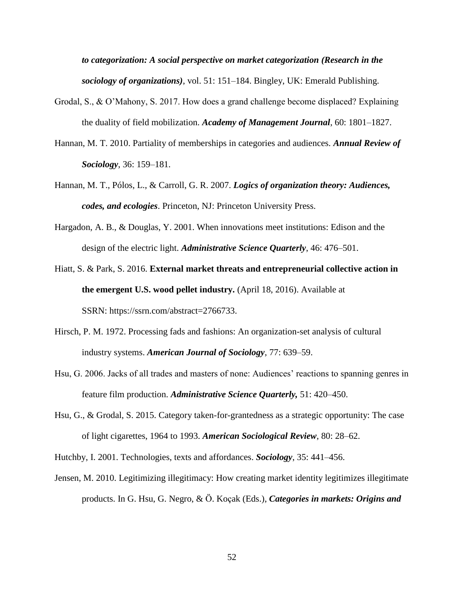*to categorization: A social perspective on market categorization (Research in the sociology of organizations)*, vol. 51: 151–184. Bingley, UK: Emerald Publishing.

- Grodal, S., & O'Mahony, S. 2017. How does a grand challenge become displaced? Explaining the duality of field mobilization. *Academy of Management Journal*, 60: 1801–1827.
- Hannan, M. T. 2010. Partiality of memberships in categories and audiences. *Annual Review of Sociology*, 36: 159–181.
- Hannan, M. T., Pólos, L., & Carroll, G. R. 2007. *Logics of organization theory: Audiences, codes, and ecologies*. Princeton, NJ: Princeton University Press.
- Hargadon, A. B., & Douglas, Y. 2001. When innovations meet institutions: Edison and the design of the electric light. *Administrative Science Quarterly*, 46: 476–501.
- Hiatt, S. & Park, S. 2016. **External market threats and entrepreneurial collective action in the emergent U.S. wood pellet industry.** (April 18, 2016). Available at SSRN: [https://ssrn.com/abstract=2766733.](https://ssrn.com/abstract=2766733)
- Hirsch, P. M. 1972. Processing fads and fashions: An organization-set analysis of cultural industry systems. *American Journal of Sociology*, 77: 639–59.
- Hsu, G. 2006. Jacks of all trades and masters of none: Audiences' reactions to spanning genres in feature film production. *Administrative Science Quarterly,* 51: 420–450.
- Hsu, G., & Grodal, S. 2015. Category taken-for-grantedness as a strategic opportunity: The case of light cigarettes, 1964 to 1993. *American Sociological Review*, 80: 28–62.

Hutchby, I. 2001. Technologies, texts and affordances. *Sociology*, 35: 441–456.

Jensen, M. 2010. Legitimizing illegitimacy: How creating market identity legitimizes illegitimate products. In G. Hsu, G. Negro, & Ö. Koçak (Eds.), *Categories in markets: Origins and*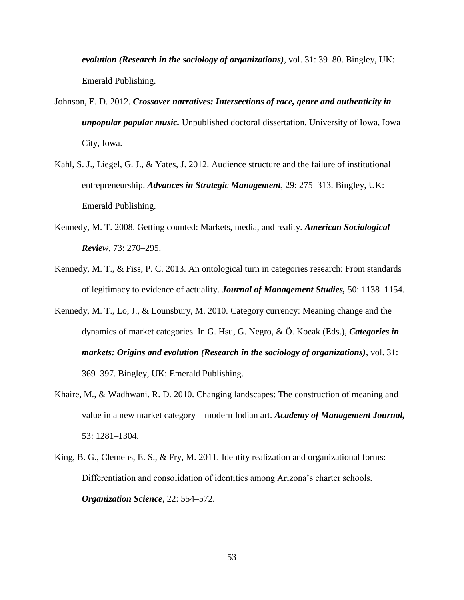*evolution (Research in the sociology of organizations)*, vol. 31: 39–80. Bingley, UK: Emerald Publishing.

- Johnson, E. D. 2012. *Crossover narratives: Intersections of race, genre and authenticity in unpopular popular music.* Unpublished doctoral dissertation. University of Iowa, Iowa City, Iowa.
- Kahl, S. J., Liegel, G. J., & Yates, J. 2012. Audience structure and the failure of institutional entrepreneurship. *Advances in Strategic Management*, 29: 275–313. Bingley, UK: Emerald Publishing.
- Kennedy, M. T. 2008. Getting counted: Markets, media, and reality. *American Sociological Review*, 73: 270–295.
- Kennedy, M. T., & Fiss, P. C. 2013. An ontological turn in categories research: From standards of legitimacy to evidence of actuality. *Journal of Management Studies,* 50: 1138–1154.
- Kennedy, M. T., Lo, J., & Lounsbury, M. 2010. Category currency: Meaning change and the dynamics of market categories. In G. Hsu, G. Negro, & Ö. Koçak (Eds.), *Categories in markets: Origins and evolution (Research in the sociology of organizations)*, vol. 31: 369–397. Bingley, UK: Emerald Publishing.
- Khaire, M., & Wadhwani. R. D. 2010. Changing landscapes: The construction of meaning and value in a new market category—modern Indian art. *Academy of Management Journal,*  53: 1281–1304.
- King, B. G., Clemens, E. S., & Fry, M. 2011. Identity realization and organizational forms: Differentiation and consolidation of identities among Arizona's charter schools. *Organization Science*, 22: 554–572.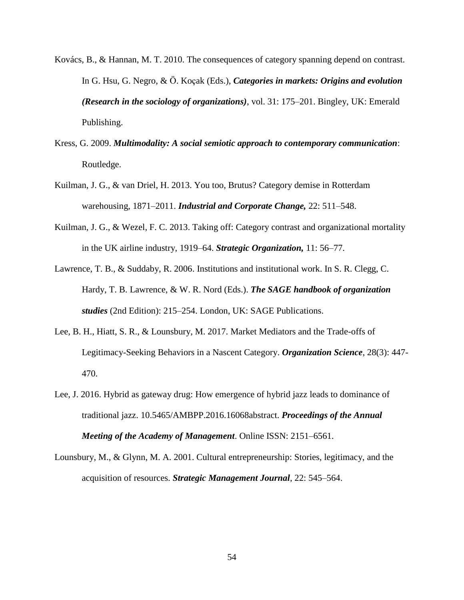- Kovács, B., & Hannan, M. T. 2010. The consequences of category spanning depend on contrast. In G. Hsu, G. Negro, & Ö. Koçak (Eds.), *Categories in markets: Origins and evolution (Research in the sociology of organizations)*, vol. 31: 175–201. Bingley, UK: Emerald Publishing.
- Kress, G. 2009. *Multimodality: A social semiotic approach to contemporary communication*: Routledge.
- Kuilman, J. G., & van Driel, H. 2013. You too, Brutus? Category demise in Rotterdam warehousing, 1871–2011. *Industrial and Corporate Change,* 22: 511–548.
- Kuilman, J. G., & Wezel, F. C. 2013. Taking off: Category contrast and organizational mortality in the UK airline industry, 1919–64. *Strategic Organization,* 11: 56–77.
- Lawrence, T. B., & Suddaby, R. 2006. Institutions and institutional work. In S. R. Clegg, C. Hardy, T. B. Lawrence, & W. R. Nord (Eds.). *The SAGE handbook of organization studies* (2nd Edition): 215–254. London, UK: SAGE Publications.
- Lee, B. H., Hiatt, S. R., & Lounsbury, M. 2017. Market Mediators and the Trade-offs of Legitimacy-Seeking Behaviors in a Nascent Category. *Organization Science*, 28(3): 447- 470.
- Lee, J. 2016. Hybrid as gateway drug: How emergence of hybrid jazz leads to dominance of traditional jazz. 10.5465/AMBPP.2016.16068abstract. *Proceedings of the Annual Meeting of the Academy of Management*. Online ISSN: 2151–6561.
- Lounsbury, M., & Glynn, M. A. 2001. Cultural entrepreneurship: Stories, legitimacy, and the acquisition of resources. *Strategic Management Journal*, 22: 545–564.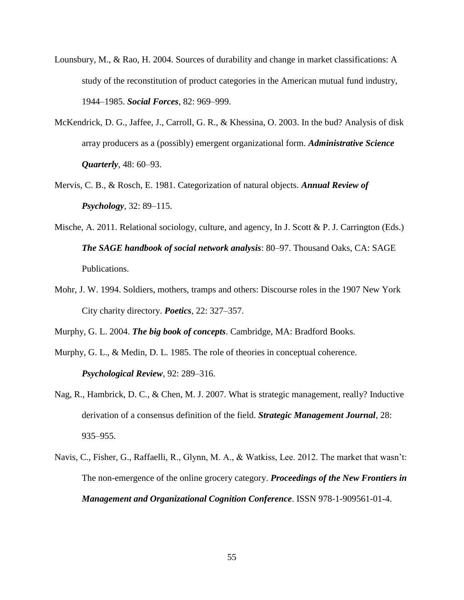- Lounsbury, M., & Rao, H. 2004. Sources of durability and change in market classifications: A study of the reconstitution of product categories in the American mutual fund industry, 1944–1985. *Social Forces*, 82: 969–999.
- McKendrick, D. G., Jaffee, J., Carroll, G. R., & Khessina, O. 2003. In the bud? Analysis of disk array producers as a (possibly) emergent organizational form. *Administrative Science Quarterly*, 48: 60–93.
- Mervis, C. B., & Rosch, E. 1981. Categorization of natural objects. *Annual Review of Psychology*, 32: 89–115.
- Mische, A. 2011. Relational sociology, culture, and agency, In J. Scott & P. J. Carrington (Eds.) *The SAGE handbook of social network analysis*: 80–97. Thousand Oaks, CA: SAGE Publications.
- Mohr, J. W. 1994. Soldiers, mothers, tramps and others: Discourse roles in the 1907 New York City charity directory. *Poetics*, 22: 327–357.

Murphy, G. L. 2004. *The big book of concepts*. Cambridge, MA: Bradford Books.

- Murphy, G. L., & Medin, D. L. 1985. The role of theories in conceptual coherence. *Psychological Review*, 92: 289–316.
- Nag, R., Hambrick, D. C., & Chen, M. J. 2007. What is strategic management, really? Inductive derivation of a consensus definition of the field. *Strategic Management Journal*, 28: 935–955.
- Navis, C., Fisher, G., Raffaelli, R., Glynn, M. A., & Watkiss, Lee. 2012. The market that wasn't: The non-emergence of the online grocery category. *Proceedings of the New Frontiers in Management and Organizational Cognition Conference*. ISSN 978-1-909561-01-4.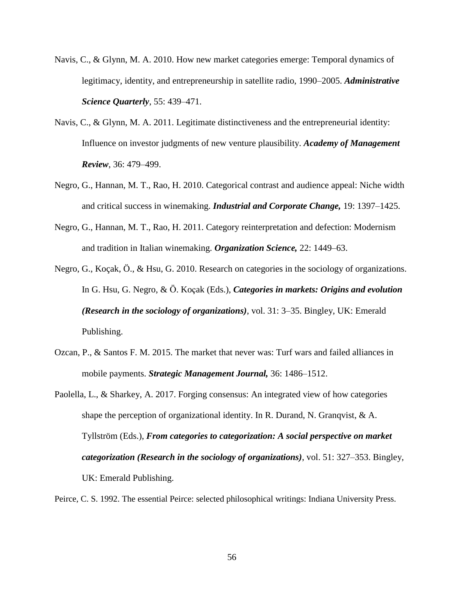- Navis, C., & Glynn, M. A. 2010. How new market categories emerge: Temporal dynamics of legitimacy, identity, and entrepreneurship in satellite radio, 1990–2005. *Administrative Science Quarterly*, 55: 439–471.
- Navis, C., & Glynn, M. A. 2011. Legitimate distinctiveness and the entrepreneurial identity: Influence on investor judgments of new venture plausibility. *Academy of Management Review*, 36: 479–499.
- Negro, G., Hannan, M. T., Rao, H. 2010. Categorical contrast and audience appeal: Niche width and critical success in winemaking. *Industrial and Corporate Change,* 19: 1397–1425.
- Negro, G., Hannan, M. T., Rao, H. 2011. Category reinterpretation and defection: Modernism and tradition in Italian winemaking. *Organization Science,* 22: 1449–63.
- Negro, G., Koçak, Ö., & Hsu, G. 2010. Research on categories in the sociology of organizations. In G. Hsu, G. Negro, & Ö. Koçak (Eds.), *Categories in markets: Origins and evolution (Research in the sociology of organizations)*, vol. 31: 3–35. Bingley, UK: Emerald Publishing.
- Ozcan, P., & Santos F. M. 2015. The market that never was: Turf wars and failed alliances in mobile payments. *Strategic Management Journal,* 36: 1486–1512.
- Paolella, L., & Sharkey, A. 2017. Forging consensus: An integrated view of how categories shape the perception of organizational identity. In R. Durand, N. Granqvist,  $\& A$ . Tyllström (Eds.), *From categories to categorization: A social perspective on market categorization (Research in the sociology of organizations)*, vol. 51: 327–353. Bingley, UK: Emerald Publishing.

Peirce, C. S. 1992. The essential Peirce: selected philosophical writings: Indiana University Press.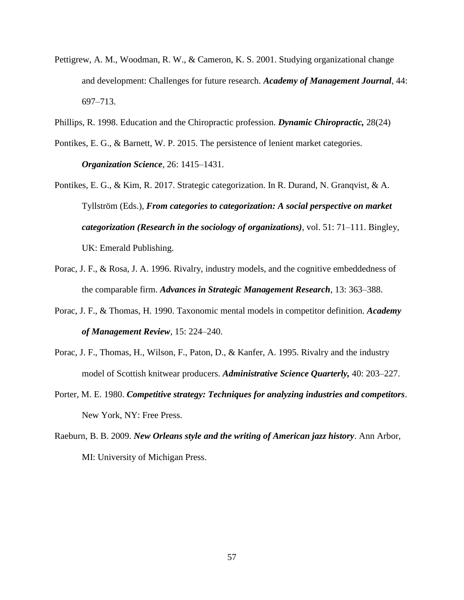- Pettigrew, A. M., Woodman, R. W., & Cameron, K. S. 2001. Studying organizational change and development: Challenges for future research. *Academy of Management Journal*, 44: 697–713.
- Phillips, R. 1998. Education and the Chiropractic profession. *Dynamic Chiropractic,* 28(24)
- Pontikes, E. G., & Barnett, W. P. 2015. The persistence of lenient market categories. *Organization Science*, 26: 1415–1431.
- Pontikes, E. G., & Kim, R. 2017. Strategic categorization. In R. Durand, N. Granqvist, & A. Tyllström (Eds.), *From categories to categorization: A social perspective on market categorization (Research in the sociology of organizations)*, vol. 51: 71–111. Bingley, UK: Emerald Publishing.
- Porac, J. F., & Rosa, J. A. 1996. Rivalry, industry models, and the cognitive embeddedness of the comparable firm. *Advances in Strategic Management Research*, 13: 363–388.
- Porac, J. F., & Thomas, H. 1990. Taxonomic mental models in competitor definition. *Academy of Management Review*, 15: 224–240.
- Porac, J. F., Thomas, H., Wilson, F., Paton, D., & Kanfer, A. 1995. Rivalry and the industry model of Scottish knitwear producers. *Administrative Science Quarterly,* 40: 203–227.
- Porter, M. E. 1980. *Competitive strategy: Techniques for analyzing industries and competitors*. New York, NY: Free Press.
- Raeburn, B. B. 2009. *New Orleans style and the writing of American jazz history*. Ann Arbor, MI: University of Michigan Press.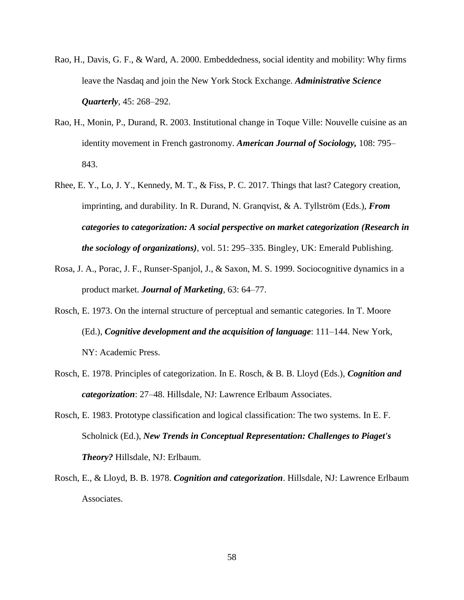- Rao, H., Davis, G. F., & Ward, A. 2000. Embeddedness, social identity and mobility: Why firms leave the Nasdaq and join the New York Stock Exchange. *Administrative Science Quarterly*, 45: 268–292.
- Rao, H., Monin, P., Durand, R. 2003. Institutional change in Toque Ville: Nouvelle cuisine as an identity movement in French gastronomy. *American Journal of Sociology,* 108: 795– 843.
- Rhee, E. Y., Lo, J. Y., Kennedy, M. T., & Fiss, P. C. 2017. Things that last? Category creation, imprinting, and durability. In R. Durand, N. Granqvist, & A. Tyllström (Eds.), *From categories to categorization: A social perspective on market categorization (Research in the sociology of organizations)*, vol. 51: 295–335. Bingley, UK: Emerald Publishing.
- Rosa, J. A., Porac, J. F., Runser-Spanjol, J., & Saxon, M. S. 1999. Sociocognitive dynamics in a product market. *Journal of Marketing*, 63: 64–77.
- Rosch, E. 1973. On the internal structure of perceptual and semantic categories. In T. Moore (Ed.), *Cognitive development and the acquisition of language*: 111–144. New York, NY: Academic Press.
- Rosch, E. 1978. Principles of categorization. In E. Rosch, & B. B. Lloyd (Eds.), *Cognition and categorization*: 27–48. Hillsdale, NJ: Lawrence Erlbaum Associates.
- Rosch, E. 1983. Prototype classification and logical classification: The two systems. In E. F. Scholnick (Ed.), *New Trends in Conceptual Representation: Challenges to Piaget's Theory?* Hillsdale, NJ: Erlbaum.
- Rosch, E., & Lloyd, B. B. 1978. *Cognition and categorization*. Hillsdale, NJ: Lawrence Erlbaum Associates.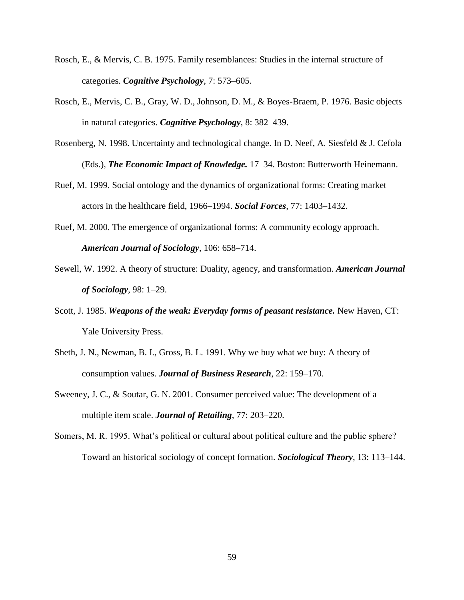- Rosch, E., & Mervis, C. B. 1975. Family resemblances: Studies in the internal structure of categories. *Cognitive Psychology*, 7: 573–605.
- Rosch, E., Mervis, C. B., Gray, W. D., Johnson, D. M., & Boyes-Braem, P. 1976. Basic objects in natural categories. *Cognitive Psychology*, 8: 382–439.
- Rosenberg, N. 1998. Uncertainty and technological change. In D. Neef, A. Siesfeld & J. Cefola (Eds.)*, The Economic Impact of Knowledge.* 17–34. Boston: Butterworth Heinemann.
- Ruef, M. 1999. Social ontology and the dynamics of organizational forms: Creating market actors in the healthcare field, 1966–1994. *Social Forces*, 77: 1403–1432.
- Ruef, M. 2000. The emergence of organizational forms: A community ecology approach. *American Journal of Sociology*, 106: 658–714.
- Sewell, W. 1992. A theory of structure: Duality, agency, and transformation. *American Journal of Sociology*, 98: 1–29.
- Scott, J. 1985. *Weapons of the weak: Everyday forms of peasant resistance.* New Haven, CT: Yale University Press.
- Sheth, J. N., Newman, B. I., Gross, B. L. 1991. Why we buy what we buy: A theory of consumption values. *Journal of Business Research*, 22: 159–170.
- Sweeney, J. C., & Soutar, G. N. 2001. Consumer perceived value: The development of a multiple item scale. *Journal of Retailing*, 77: 203–220.
- Somers, M. R. 1995. What's political or cultural about political culture and the public sphere? Toward an historical sociology of concept formation. *Sociological Theory*, 13: 113–144.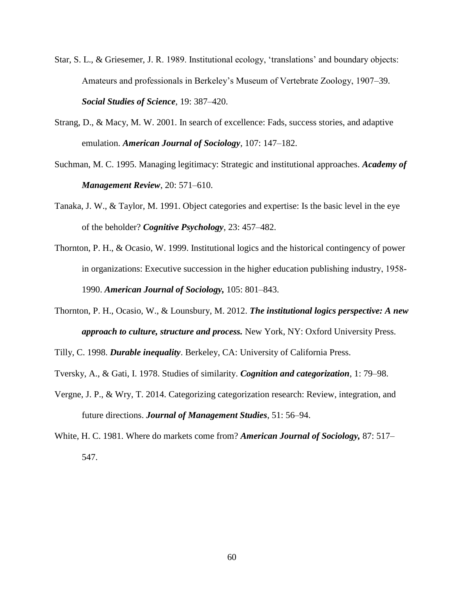- Star, S. L., & Griesemer, J. R. 1989. Institutional ecology, 'translations' and boundary objects: Amateurs and professionals in Berkeley's Museum of Vertebrate Zoology, 1907–39. *Social Studies of Science*, 19: 387–420.
- Strang, D., & Macy, M. W. 2001. In search of excellence: Fads, success stories, and adaptive emulation. *American Journal of Sociology*, 107: 147–182.
- Suchman, M. C. 1995. Managing legitimacy: Strategic and institutional approaches. *Academy of Management Review*, 20: 571–610.
- Tanaka, J. W., & Taylor, M. 1991. Object categories and expertise: Is the basic level in the eye of the beholder? *Cognitive Psychology*, 23: 457–482.
- Thornton, P. H., & Ocasio, W. 1999. Institutional logics and the historical contingency of power in organizations: Executive succession in the higher education publishing industry, 1958‐ 1990. *American Journal of Sociology,* 105: 801–843.
- Thornton, P. H., Ocasio, W., & Lounsbury, M. 2012. *The institutional logics perspective: A new approach to culture, structure and process.* New York, NY: Oxford University Press.

Tilly, C. 1998. *Durable inequality*. Berkeley, CA: University of California Press.

- Tversky, A., & Gati, I. 1978. Studies of similarity. *Cognition and categorization*, 1: 79–98.
- Vergne, J. P., & Wry, T. 2014. Categorizing categorization research: Review, integration, and future directions. *Journal of Management Studies*, 51: 56–94.
- White, H. C. 1981. Where do markets come from? *American Journal of Sociology,* 87: 517– 547.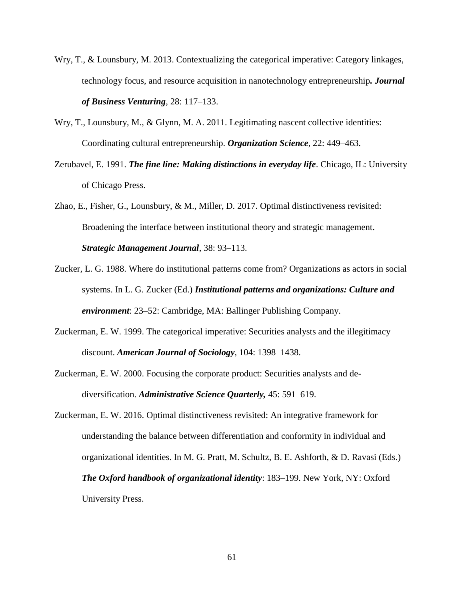- Wry, T., & Lounsbury, M. 2013. Contextualizing the categorical imperative: Category linkages, technology focus, and resource acquisition in nanotechnology entrepreneurship*. Journal of Business Venturing*, 28: 117–133.
- Wry, T., Lounsbury, M., & Glynn, M. A. 2011. Legitimating nascent collective identities: Coordinating cultural entrepreneurship. *Organization Science*, 22: 449–463.
- Zerubavel, E. 1991. *The fine line: Making distinctions in everyday life*. Chicago, IL: University of Chicago Press.

Zhao, E., Fisher, G., Lounsbury, & M., Miller, D. 2017. Optimal distinctiveness revisited: Broadening the interface between institutional theory and strategic management. *Strategic Management Journal*, 38: 93–113.

- Zucker, L. G. 1988. Where do institutional patterns come from? Organizations as actors in social systems. In L. G. Zucker (Ed.) *Institutional patterns and organizations: Culture and environment*: 23–52: Cambridge, MA: Ballinger Publishing Company.
- Zuckerman, E. W. 1999. The categorical imperative: Securities analysts and the illegitimacy discount. *American Journal of Sociology*, 104: 1398–1438.
- Zuckerman, E. W. 2000. Focusing the corporate product: Securities analysts and dediversification. *Administrative Science Quarterly,* 45: 591–619.
- Zuckerman, E. W. 2016. Optimal distinctiveness revisited: An integrative framework for understanding the balance between differentiation and conformity in individual and organizational identities. In M. G. Pratt, M. Schultz, B. E. Ashforth, & D. Ravasi (Eds.) *The Oxford handbook of organizational identity*: 183–199. New York, NY: Oxford University Press.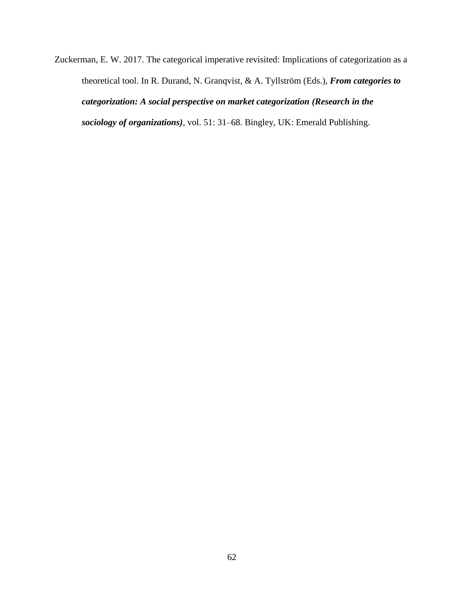Zuckerman, E. W. 2017. The categorical imperative revisited: Implications of categorization as a theoretical tool. In R. Durand, N. Granqvist, & A. Tyllström (Eds.), *From categories to categorization: A social perspective on market categorization (Research in the sociology of organizations)*, vol. 51: 31–68. Bingley, UK: Emerald Publishing.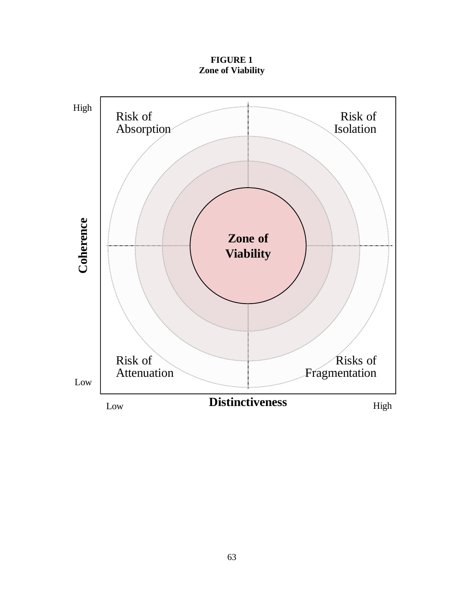**FIGURE 1 Zone of Viability**

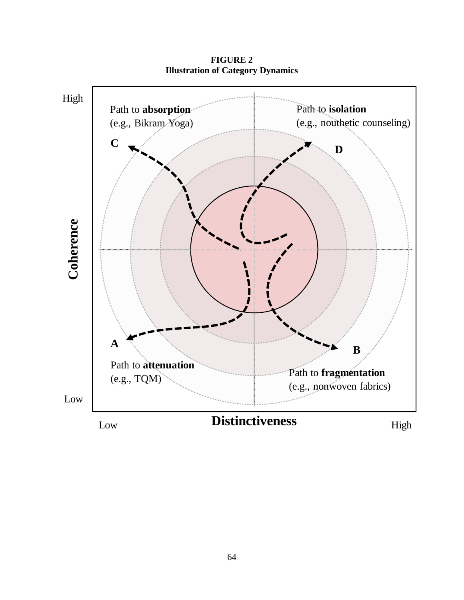

**FIGURE 2 Illustration of Category Dynamics**